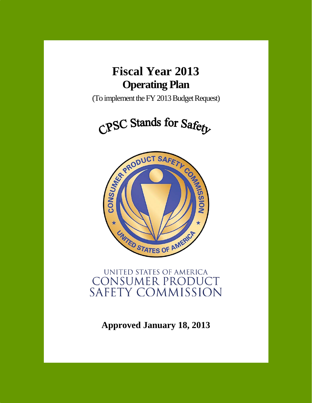

(To implement the FY 2013 Budget Request)

CPSC Stands for Safety



# UNITED STATES OF AMERICA **CONSUMER PRODUCT** SAFETY COMMISSION

**Approved January 18, 2013**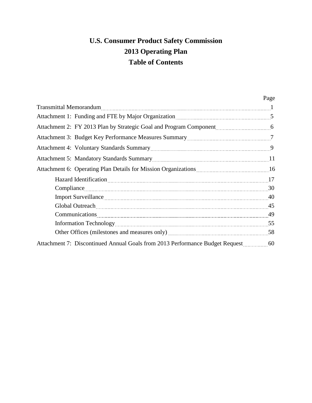# **U.S. Consumer Product Safety Commission 2013 Operating Plan Table of Contents**

|                                                                                                                                                                                                                               | Page |
|-------------------------------------------------------------------------------------------------------------------------------------------------------------------------------------------------------------------------------|------|
|                                                                                                                                                                                                                               |      |
| Attachment 1: Funding and FTE by Major Organization <b>Manual</b> 2014 12: 5                                                                                                                                                  |      |
|                                                                                                                                                                                                                               |      |
| Attachment 3: Budget Key Performance Measures Summary [2014] Mattachment 3: Budget Key Performance Measures Summary                                                                                                           |      |
| Attachment 4: Voluntary Standards Summary<br>9.                                                                                                                                                                               |      |
| Attachment 5: Mandatory Standards Summary [11] Attachment 5: Mandatory Standards Summary [11] Attachment 5: Mandatory Standards Summary [12] Attachment Standards Summary [12] Attachment Standards Summary Standards Summary |      |
|                                                                                                                                                                                                                               |      |
| Hazard Identification 27                                                                                                                                                                                                      |      |
| Compliance 30                                                                                                                                                                                                                 |      |
|                                                                                                                                                                                                                               |      |
| Global Outreach 15                                                                                                                                                                                                            |      |
| Communications 49                                                                                                                                                                                                             |      |
|                                                                                                                                                                                                                               |      |
|                                                                                                                                                                                                                               |      |
|                                                                                                                                                                                                                               |      |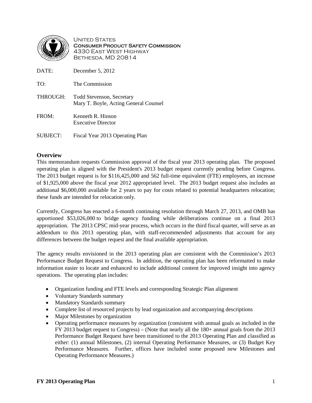

UNITED STATES Consumer Product Safety Commission 4330 East West Highway Bethesda, MD 20814

| DATE:           | December $5, 2012$                                                        |
|-----------------|---------------------------------------------------------------------------|
| TO:             | The Commission                                                            |
| THROUGH:        | <b>Todd Stevenson, Secretary</b><br>Mary T. Boyle, Acting General Counsel |
| FROM:           | Kenneth R. Hinson<br><b>Executive Director</b>                            |
| <b>SUBJECT:</b> | Fiscal Year 2013 Operating Plan                                           |

# **Overview**

This memorandum requests Commission approval of the fiscal year 2013 operating plan. The proposed operating plan is aligned with the President's 2013 budget request currently pending before Congress. The 2013 budget request is for \$116,425,000 and 562 full-time equivalent (FTE) employees, an increase of \$1,925,000 above the fiscal year 2012 appropriated level. The 2013 budget request also includes an additional \$6,000,000 available for 2 years to pay for costs related to potential headquarters relocation; these funds are intended for relocation only.

Currently, Congress has enacted a 6-month continuing resolution through March 27, 2013, and OMB has apportioned \$53,026,000 to bridge agency funding while deliberations continue on a final 2013 appropriation. The 2013 CPSC mid-year process, which occurs in the third fiscal quarter, will serve as an addendum to this 2013 operating plan, with staff-recommended adjustments that account for any differences between the budget request and the final available appropriation.

The agency results envisioned in the 2013 operating plan are consistent with the Commission's 2013 Performance Budget Request to Congress. In addition, the operating plan has been reformatted to make information easier to locate and enhanced to include additional content for improved insight into agency operations. The operating plan includes:

- Organization funding and FTE levels and corresponding Strategic Plan alignment
- Voluntary Standards summary
- Mandatory Standards summary
- Complete list of resourced projects by lead organization and accompanying descriptions
- Major Milestones by organization
- Operating performance measures by organization (consistent with annual goals as included in the FY 2013 budget request to Congress) – (Note that nearly all the 180+ annual goals from the 2013 Performance Budget Request have been transitioned to the 2013 Operating Plan and classified as either: (1) annual Milestones, (2) internal Operating Performance Measures, or (3) Budget Key Performance Measures. Further, offices have included some proposed new Milestones and Operating Performance Measures.)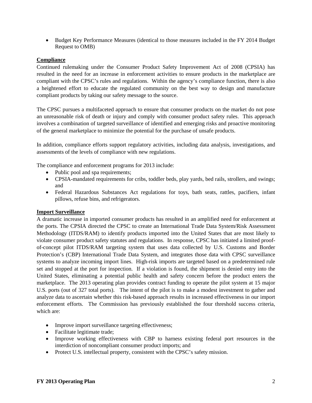• Budget Key Performance Measures (identical to those measures included in the FY 2014 Budget Request to OMB)

#### **Compliance**

Continued rulemaking under the Consumer Product Safety Improvement Act of 2008 (CPSIA) has resulted in the need for an increase in enforcement activities to ensure products in the marketplace are compliant with the CPSC's rules and regulations. Within the agency's compliance function, there is also a heightened effort to educate the regulated community on the best way to design and manufacture compliant products by taking our safety message to the source.

The CPSC pursues a multifaceted approach to ensure that consumer products on the market do not pose an unreasonable risk of death or injury and comply with consumer product safety rules. This approach involves a combination of targeted surveillance of identified and emerging risks and proactive monitoring of the general marketplace to minimize the potential for the purchase of unsafe products.

In addition, compliance efforts support regulatory activities, including data analysis, investigations, and assessments of the levels of compliance with new regulations.

The compliance and enforcement programs for 2013 include:

- Public pool and spa requirements;
- CPSIA-mandated requirements for cribs, toddler beds, play yards, bed rails, strollers, and swings; and
- Federal Hazardous Substances Act regulations for toys, bath seats, rattles, pacifiers, infant pillows, refuse bins, and refrigerators.

#### **Import Surveillance**

A dramatic increase in imported consumer products has resulted in an amplified need for enforcement at the ports. The CPSIA directed the CPSC to create an International Trade Data System/Risk Assessment Methodology (ITDS/RAM) to identify products imported into the United States that are most likely to violate consumer product safety statutes and regulations. In response, CPSC has initiated a limited proofof-concept pilot ITDS/RAM targeting system that uses data collected by U.S. Customs and Border Protection's (CBP) International Trade Data System, and integrates those data with CPSC surveillance systems to analyze incoming import lines. High-risk imports are targeted based on a predetermined rule set and stopped at the port for inspection. If a violation is found, the shipment is denied entry into the United States, eliminating a potential public health and safety concern before the product enters the marketplace. The 2013 operating plan provides contract funding to operate the pilot system at 15 major U.S. ports (out of 327 total ports). The intent of the pilot is to make a modest investment to gather and analyze data to ascertain whether this risk-based approach results in increased effectiveness in our import enforcement efforts. The Commission has previously established the four threshold success criteria, which are:

- Improve import surveillance targeting effectiveness;
- Facilitate legitimate trade;
- Improve working effectiveness with CBP to harness existing federal port resources in the interdiction of noncompliant consumer product imports; and
- Protect U.S. intellectual property, consistent with the CPSC's safety mission.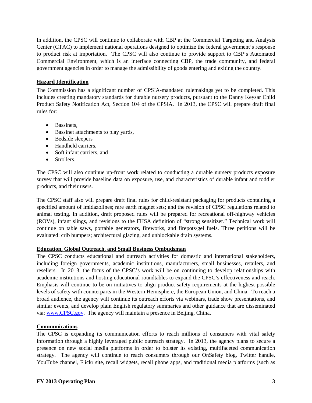In addition, the CPSC will continue to collaborate with CBP at the Commercial Targeting and Analysis Center (CTAC) to implement national operations designed to optimize the federal government's response to product risk at importation. The CPSC will also continue to provide support to CBP's Automated Commercial Environment, which is an interface connecting CBP, the trade community, and federal government agencies in order to manage the admissibility of goods entering and exiting the country.

#### **Hazard Identification**

The Commission has a significant number of CPSIA-mandated rulemakings yet to be completed. This includes creating mandatory standards for durable nursery products, pursuant to the Danny Keysar Child Product Safety Notification Act, Section 104 of the CPSIA. In 2013, the CPSC will prepare draft final rules for:

- Bassinets,
- Bassinet attachments to play yards,
- Bedside sleepers
- Handheld carriers,
- Soft infant carriers, and
- Strollers.

The CPSC will also continue up-front work related to conducting a durable nursery products exposure survey that will provide baseline data on exposure, use, and characteristics of durable infant and toddler products, and their users.

The CPSC staff also will prepare draft final rules for child-resistant packaging for products containing a specified amount of imidazolines; rare earth magnet sets; and the revision of CPSC regulations related to animal testing. In addition, draft proposed rules will be prepared for recreational off-highway vehicles (ROVs), infant slings, and revisions to the FHSA definition of "strong sensitizer." Technical work will continue on table saws, portable generators, fireworks, and firepots/gel fuels. Three petitions will be evaluated: crib bumpers; architectural glazing, and unblockable drain systems.

## **Education, Global Outreach, and Small Business Ombudsman**

The CPSC conducts educational and outreach activities for domestic and international stakeholders, including foreign governments, academic institutions, manufacturers, small businesses, retailers, and resellers. In 2013, the focus of the CPSC's work will be on continuing to develop relationships with academic institutions and hosting educational roundtables to expand the CPSC's effectiveness and reach. Emphasis will continue to be on initiatives to align product safety requirements at the highest possible levels of safety with counterparts in the Western Hemisphere, the European Union, and China. To reach a broad audience, the agency will continue its outreach efforts via webinars, trade show presentations, and similar events, and develop plain English regulatory summaries and other guidance that are disseminated via: [www.CPSC.gov.](http://www.cpsc.gov/) The agency will maintain a presence in Beijing, China.

## **Communications**

The CPSC is expanding its communication efforts to reach millions of consumers with vital safety information through a highly leveraged public outreach strategy. In 2013, the agency plans to secure a presence on new social media platforms in order to bolster its existing, multifaceted communication strategy. The agency will continue to reach consumers through our OnSafety blog, Twitter handle, YouTube channel, Flickr site, recall widgets, recall phone apps, and traditional media platforms (such as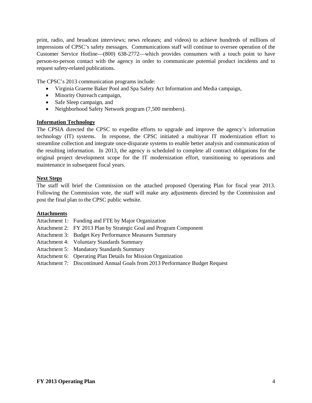print, radio, and broadcast interviews; news releases; and videos) to achieve hundreds of millions of impressions of CPSC's safety messages. Communications staff will continue to oversee operation of the Customer Service Hotline—(800) 638-2772—which provides consumers with a touch point to have person-to-person contact with the agency in order to communicate potential product incidents and to request safety-related publications.

The CPSC's 2013 communication programs include:

- Virginia Graeme Baker Pool and Spa Safety Act Information and Media campaign,
- Minority Outreach campaign,
- Safe Sleep campaign, and
- Neighborhood Safety Network program (7,500 members).

#### **Information Technology**

The CPSIA directed the CPSC to expedite efforts to upgrade and improve the agency's information technology (IT) systems. In response, the CPSC initiated a multiyear IT modernization effort to streamline collection and integrate once-disparate systems to enable better analysis and communication of the resulting information. In 2013, the agency is scheduled to complete all contract obligations for the original project development scope for the IT modernization effort, transitioning to operations and maintenance in subsequent fiscal years.

#### **Next Steps**

The staff will brief the Commission on the attached proposed Operating Plan for fiscal year 2013. Following the Commission vote, the staff will make any adjustments directed by the Commission and post the final plan to the CPSC public website.

#### **Attachments**

- Attachment 1: Funding and FTE by Major Organization
- Attachment 2: FY 2013 Plan by Strategic Goal and Program Component
- Attachment 3: Budget Key Performance Measures Summary
- Attachment 4: Voluntary Standards Summary
- Attachment 5: Mandatory Standards Summary
- Attachment 6: Operating Plan Details for Mission Organization
- Attachment 7: Discontinued Annual Goals from 2013 Performance Budget Request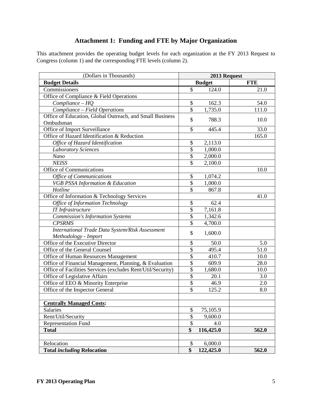# **Attachment 1: Funding and FTE by Major Organization**

This attachment provides the operating budget levels for each organization at the FY 2013 Request to Congress (column 1) and the corresponding FTE levels (column 2).

| (Dollars in Thousands)                                      | 2013 Request             |               |            |
|-------------------------------------------------------------|--------------------------|---------------|------------|
| <b>Budget Details</b>                                       |                          | <b>Budget</b> | <b>FTE</b> |
| Commissioners                                               | $\overline{\mathcal{S}}$ | 124.0         | 21.0       |
| Office of Compliance & Field Operations                     |                          |               |            |
| $Compliance-HQ$                                             | \$                       | 162.3         | 54.0       |
| Compliance - Field Operations                               | $\overline{\$}$          | 1,735.0       | 111.0      |
| Office of Education, Global Outreach, and Small Business    | \$                       | 788.3         | 10.0       |
| Ombudsman                                                   |                          |               |            |
| Office of Import Surveillance                               | \$                       | 445.4         | 33.0       |
| Office of Hazard Identification & Reduction                 |                          |               | 165.0      |
| Office of Hazard Identification                             | \$                       | 2,113.0       |            |
| <b>Laboratory Sciences</b>                                  | \$                       | 1,000.0       |            |
| Nano                                                        | \$                       | 2,000.0       |            |
| <b>NEISS</b>                                                | \$                       | 2,100.0       |            |
| <b>Office of Communications</b>                             |                          |               | 10.0       |
| <b>Office of Communications</b>                             | \$                       | 1,074.2       |            |
| VGB PSSA Information & Education                            | \$                       | 1,000.0       |            |
| Hotline                                                     | $\overline{\mathcal{S}}$ | 867.8         |            |
| Office of Information & Technology Services                 |                          |               | 41.0       |
| <b>Office of Information Technology</b>                     | \$                       | 62.4          |            |
| <b>IT</b> Infrastructure                                    | \$                       | 7,161.8       |            |
| <b>Commission's Information Systems</b>                     | \$                       | 1,342.6       |            |
| <b>CPSRMS</b>                                               | \$                       | 4,700.0       |            |
| International Trade Data System/Risk Assessment             | \$                       |               |            |
| Methodology - Import                                        |                          | 1,600.0       |            |
| Office of the Executive Director                            | \$                       | 50.0          | 5.0        |
| Office of the General Counsel                               | $\overline{\$}$          | 495.4         | 51.0       |
| Office of Human Resources Management                        | $\overline{\$}$          | 410.7         | 10.0       |
| Office of Financial Management, Planning, & Evaluation      | $\overline{\$}$          | 609.9         | 28.0       |
| Office of Facilities Services (excludes Rent/Util/Security) | $\overline{\$}$          | 1,680.0       | 10.0       |
| Office of Legislative Affairs                               | $\overline{\$}$          | 20.1          | 3.0        |
| Office of EEO & Minority Enterprise                         | $\overline{\$}$          | 46.9          | 2.0        |
| Office of the Inspector General                             | \$                       | 125.2         | 8.0        |
|                                                             |                          |               |            |
| <b>Centrally Managed Costs:</b>                             |                          |               |            |
| Salaries                                                    | \$                       | 75,105.9      |            |
| Rent/Util/Security                                          | $\overline{\$}$          | 9,600.0       |            |
| <b>Representation Fund</b>                                  | $\overline{\$}$          | 4.0           |            |
| <b>Total</b>                                                | \$                       | 116,425.0     | 562.0      |
|                                                             |                          |               |            |
| Relocation                                                  | \$                       | 6,000.0       |            |
| <b>Total including Relocation</b>                           | \$                       | 122,425.0     | 562.0      |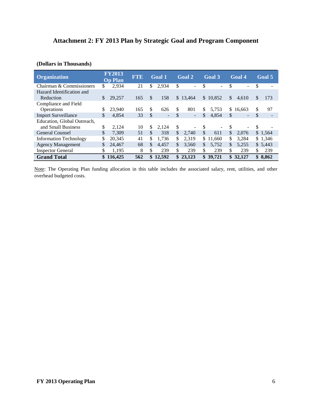# **Attachment 2: FY 2013 Plan by Strategic Goal and Program Component**

# **(Dollars in Thousands)**

| <b>Organization</b>           |    | <b>FY2013</b><br><b>Op Plan</b> | <b>FTE</b> | <b>Goal 1</b>                      | <b>Goal 2</b>        | <b>Goal 3</b> |               | <b>Goal 4</b> |               | Goal 5  |
|-------------------------------|----|---------------------------------|------------|------------------------------------|----------------------|---------------|---------------|---------------|---------------|---------|
| Chairman & Commissioners      | \$ | 2,934                           | 21         | \$<br>2,934                        | \$<br>÷              | \$            | \$            | Ξ.            | \$            |         |
| Hazard Identification and     |    |                                 |            |                                    |                      |               |               |               |               |         |
| Reduction                     |    | 29,257                          | 165        | \$<br>158                          | \$13,464             | \$10,852      | $\mathbb{S}$  | 4,610         | $\frac{1}{2}$ | 173     |
| Compliance and Field          |    |                                 |            |                                    |                      |               |               |               |               |         |
| <b>Operations</b>             |    | 23,940                          | 165        | \$<br>626                          | \$<br>801            | \$<br>5,753   | \$            | 16.663        | \$            | 97      |
| <b>Import Surveillance</b>    | \$ | 4,854                           | 33         | \$<br>$\qquad \qquad \blacksquare$ | \$<br>$\blacksquare$ | \$<br>4,854   | \$            | Ξ.            | \$            |         |
| Education, Global Outreach,   |    |                                 |            |                                    |                      |               |               |               |               |         |
| and Small Business            | \$ | 2.124                           | 10         | \$<br>2,124                        | \$<br>۰              | \$<br>-       | \$            | ۰             | \$            |         |
| <b>General Counsel</b>        | \$ | 7.309                           | 51         | \$<br>318                          | \$<br>2.740          | \$<br>611     | $\mathcal{S}$ | 2.076         |               | \$1,564 |
| <b>Information Technology</b> | \$ | 20.345                          | 41         | \$<br>1,736                        | \$<br>2,319          | \$11,660      | \$            | 3.284         |               | \$1,346 |
| <b>Agency Management</b>      | \$ | 24,467                          | 68         | \$<br>4.457                        | \$<br>3,560          | \$<br>5.752   | \$            | 5.255         |               | \$5,443 |
| <b>Inspector General</b>      | \$ | 1,195                           | 8          | \$<br>239                          | \$<br>239            | \$<br>239     | \$            | 239           | \$            | 239     |
| <b>Grand Total</b>            |    | \$116.425                       | 562        | \$<br>12,592                       | \$23,123             | \$39.721      |               | \$32,127      |               | \$8,862 |

Note: The Operating Plan funding allocation in this table includes the associated salary, rent, utilities, and other overhead budgeted costs.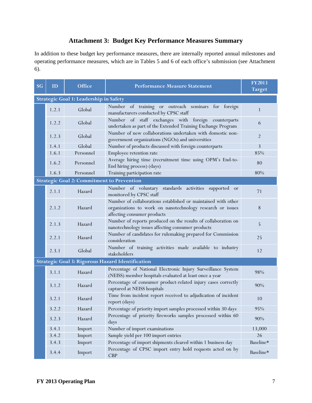# **Attachment 3: Budget Key Performance Measures Summary**

In addition to these budget key performance measures, there are internally reported annual milestones and operating performance measures, which are in Tables 5 and 6 of each office's submission (see Attachment 6).

| <b>SG</b> | ID                                                                                          | <b>Office</b>                                                                                                                 | <b>Performance Measure Statement</b>                                                                                                                       | <b>FY2013</b><br><b>Target</b> |  |  |  |  |  |
|-----------|---------------------------------------------------------------------------------------------|-------------------------------------------------------------------------------------------------------------------------------|------------------------------------------------------------------------------------------------------------------------------------------------------------|--------------------------------|--|--|--|--|--|
|           | Strategic Goal 1: Leadership in Safety                                                      |                                                                                                                               |                                                                                                                                                            |                                |  |  |  |  |  |
|           | 1.2.1                                                                                       | Number of training or outreach seminars for foreign<br>Global<br>manufacturers conducted by CPSC staff                        |                                                                                                                                                            | 1                              |  |  |  |  |  |
|           | 1.2.2                                                                                       | Number of staff exchanges with foreign counterparts<br>Global<br>undertaken as part of the Extended Training Exchange Program |                                                                                                                                                            | 6                              |  |  |  |  |  |
|           | 1.2.3                                                                                       | Global                                                                                                                        | Number of new collaborations undertaken with domestic non-<br>government organizations (NGOs) and universities                                             | $\overline{2}$                 |  |  |  |  |  |
|           | 1.4.1                                                                                       | Global                                                                                                                        | Number of products discussed with foreign counterparts                                                                                                     | 3                              |  |  |  |  |  |
|           | 1.6.1                                                                                       | Personnel                                                                                                                     | Employee retention rate                                                                                                                                    | 85%                            |  |  |  |  |  |
|           | 1.6.2                                                                                       | Personnel                                                                                                                     | Average hiring time (recruitment time using OPM's End-to-<br>End hiring process) (days)                                                                    | 80                             |  |  |  |  |  |
|           | 1.6.3                                                                                       | Personnel                                                                                                                     | Training participation rate                                                                                                                                | 80%                            |  |  |  |  |  |
|           |                                                                                             | <b>Strategic Goal 2: Commitment to Prevention</b>                                                                             |                                                                                                                                                            |                                |  |  |  |  |  |
|           | 2.1.1                                                                                       | Hazard                                                                                                                        | Number of voluntary standards activities supported or<br>monitored by CPSC staff                                                                           | 71                             |  |  |  |  |  |
|           | 2.1.2<br>Hazard                                                                             |                                                                                                                               | Number of collaborations established or maintained with other<br>organizations to work on nanotechnology research or issues<br>affecting consumer products | $\,8\,$                        |  |  |  |  |  |
|           | 2.1.3<br>Hazard                                                                             |                                                                                                                               | Number of reports produced on the results of collaboration on<br>nanotechnology issues affecting consumer products                                         | 5                              |  |  |  |  |  |
|           | 2.2.1<br>Hazard                                                                             |                                                                                                                               | Number of candidates for rulemaking prepared for Commission<br>consideration                                                                               | 25                             |  |  |  |  |  |
|           | Number of training activities made available to industry<br>Global<br>2.3.1<br>stakeholders |                                                                                                                               | 12                                                                                                                                                         |                                |  |  |  |  |  |
|           |                                                                                             |                                                                                                                               | Strategic Goal 3: Rigorous Hazard Identification                                                                                                           |                                |  |  |  |  |  |
|           | 3.1.1                                                                                       | Hazard                                                                                                                        | Percentage of National Electronic Injury Surveillance System<br>(NEISS) member hospitals evaluated at least once a year                                    | 98%                            |  |  |  |  |  |
|           | 3.1.2                                                                                       | Hazard                                                                                                                        | Percentage of consumer product-related injury cases correctly<br>captured at NEISS hospitals                                                               | 90%                            |  |  |  |  |  |
|           | 3.2.1<br>Hazard                                                                             |                                                                                                                               | Time from incident report received to adjudication of incident<br>report (days)                                                                            | 10                             |  |  |  |  |  |
|           | 3.2.2                                                                                       | Hazard                                                                                                                        | Percentage of priority import samples processed within 30 days                                                                                             | 95%                            |  |  |  |  |  |
|           | Percentage of priority fireworks samples processed within 60<br>3.2.3<br>Hazard<br>days     |                                                                                                                               | 90%                                                                                                                                                        |                                |  |  |  |  |  |
|           | 3.4.1<br>Import<br>Number of import examinations                                            |                                                                                                                               | 13,000                                                                                                                                                     |                                |  |  |  |  |  |
|           | 3.4.2                                                                                       | Import                                                                                                                        | Sample yield per 100 import entries                                                                                                                        | 26                             |  |  |  |  |  |
|           | 3.4.3                                                                                       | Import                                                                                                                        | Percentage of import shipments cleared within 1 business day                                                                                               | Baseline*                      |  |  |  |  |  |
|           | 3.4.4                                                                                       | Import                                                                                                                        | Percentage of CPSC import entry hold requests acted on by<br><b>CBP</b>                                                                                    | Baseline*                      |  |  |  |  |  |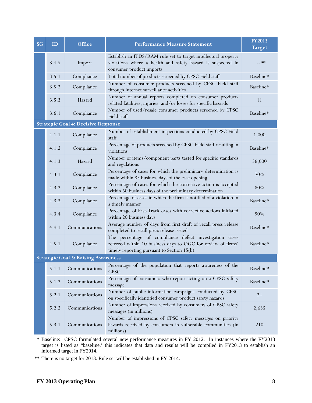| ID                  | <b>Office</b>                                                                                                                             | <b>Performance Measure Statement</b>                                                                                                                                  | <b>FY2013</b><br><b>Target</b>                                                                                                                                                                                         |
|---------------------|-------------------------------------------------------------------------------------------------------------------------------------------|-----------------------------------------------------------------------------------------------------------------------------------------------------------------------|------------------------------------------------------------------------------------------------------------------------------------------------------------------------------------------------------------------------|
| 3.4.5               | Import                                                                                                                                    | Establish an ITDS/RAM rule set to target intellectual property<br>violations where a health and safety hazard is suspected in<br>consumer product imports             | --**                                                                                                                                                                                                                   |
| 3.5.1               | Compliance                                                                                                                                | Total number of products screened by CPSC Field staff                                                                                                                 | Baseline*                                                                                                                                                                                                              |
| 3.5.2               | Compliance                                                                                                                                | Number of consumer products screened by CPSC Field staff<br>through Internet surveillance activities                                                                  | Baseline*                                                                                                                                                                                                              |
| 3.5.3               | Hazard                                                                                                                                    | Number of annual reports completed on consumer product-<br>related fatalities, injuries, and/or losses for specific hazards                                           | 11                                                                                                                                                                                                                     |
| 3.6.1               | Compliance                                                                                                                                | Field staff                                                                                                                                                           | Baseline*                                                                                                                                                                                                              |
|                     |                                                                                                                                           |                                                                                                                                                                       |                                                                                                                                                                                                                        |
| 4.1.1               | Compliance                                                                                                                                | Number of establishment inspections conducted by CPSC Field<br>staff                                                                                                  | 1,000                                                                                                                                                                                                                  |
| 4.1.2               | Compliance                                                                                                                                | Percentage of products screened by CPSC Field staff resulting in<br>violations                                                                                        | Baseline*                                                                                                                                                                                                              |
| 4.1.3               | Hazard                                                                                                                                    | Number of items/component parts tested for specific standards<br>and regulations                                                                                      | 36,000                                                                                                                                                                                                                 |
| 4.3.1               | Compliance<br>made within 85 business days of the case opening                                                                            |                                                                                                                                                                       | 70%                                                                                                                                                                                                                    |
| 4.3.2               | Percentage of cases for which the corrective action is accepted<br>Compliance<br>within 60 business days of the preliminary determination |                                                                                                                                                                       | 80%                                                                                                                                                                                                                    |
| 4.3.3<br>Compliance |                                                                                                                                           | Percentage of cases in which the firm is notified of a violation in<br>a timely manner                                                                                | Baseline*                                                                                                                                                                                                              |
| 4.3.4               | Compliance                                                                                                                                | Percentage of Fast-Track cases with corrective actions initiated<br>within 20 business days                                                                           | 90%                                                                                                                                                                                                                    |
| 4.4.1               | Communications                                                                                                                            | Average number of days from first draft of recall press release<br>completed to recall press release issued                                                           | Baseline*                                                                                                                                                                                                              |
| 4.5.1               | Compliance                                                                                                                                | The percentage of compliance defect investigation cases<br>referred within 10 business days to OGC for review of firms'<br>timely reporting pursuant to Section 15(b) | Baseline*                                                                                                                                                                                                              |
|                     |                                                                                                                                           |                                                                                                                                                                       |                                                                                                                                                                                                                        |
| 5.1.1               | Communications                                                                                                                            | Percentage of the population that reports awareness of the<br><b>CPSC</b>                                                                                             | Baseline*                                                                                                                                                                                                              |
| 5.1.2               | Communications                                                                                                                            | Percentage of consumers who report acting on a CPSC safety<br>message                                                                                                 | Baseline*                                                                                                                                                                                                              |
| 5.2.1               | Communications                                                                                                                            | Number of public information campaigns conducted by CPSC<br>on specifically identified consumer product safety hazards                                                | 24                                                                                                                                                                                                                     |
| 5.2.2               | Communications                                                                                                                            | Number of impressions received by consumers of CPSC safety<br>messages (in millions)                                                                                  | 2,635                                                                                                                                                                                                                  |
| 5.3.1               | Communications                                                                                                                            | Number of impressions of CPSC safety messages on priority<br>hazards received by consumers in vulnerable communities (in<br>millions)                                 | 210                                                                                                                                                                                                                    |
|                     |                                                                                                                                           |                                                                                                                                                                       | Number of used/resale consumer products screened by CPSC<br><b>Strategic Goal 4: Decisive Response</b><br>Percentage of cases for which the preliminary determination is<br><b>Strategic Goal 5: Raising Awareness</b> |

\* Baseline: CPSC formulated several new performance measures in FY 2012. In instances where the FY2013 target is listed as "baseline,' this indicates that data and results will be compiled in FY2013 to establish an informed target in FY2014.

\*\* There is no target for 2013. Rule set will be established in FY 2014.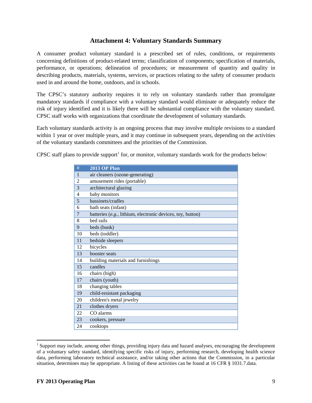# **Attachment 4: Voluntary Standards Summary**

A consumer product voluntary standard is a prescribed set of rules, conditions, or requirements concerning definitions of product-related terms; classification of components; specification of materials, performance, or operations; delineation of procedures; or measurement of quantity and quality in describing products, materials, systems, services, or practices relating to the safety of consumer products used in and around the home, outdoors, and in schools.

The CPSC's statutory authority requires it to rely on voluntary standards rather than promulgate mandatory standards if compliance with a voluntary standard would eliminate or adequately reduce the risk of injury identified and it is likely there will be substantial compliance with the voluntary standard. CPSC staff works with organizations that coordinate the development of voluntary standards.

Each voluntary standards activity is an ongoing process that may involve multiple revisions to a standard within 1 year or over multiple years, and it may continue in subsequent years, depending on the activities of the voluntary standards committees and the priorities of the Commission.

CPSC staff plans to provide support<sup>[1](#page-15-0)</sup> for, or monitor, voluntary standards work for the products below:

| #  | <b>2013 OP Plan</b>                                        |
|----|------------------------------------------------------------|
| 1  | air cleaners (ozone-generating)                            |
| 2  | amusement rides (portable)                                 |
| 3  | architectural glazing                                      |
| 4  | baby monitors                                              |
| 5  | bassinets/cradles                                          |
| 6  | bath seats (infant)                                        |
| 7  | batteries (e.g., lithium, electronic devices, toy, button) |
| 8  | bed rails                                                  |
| 9  | beds (bunk)                                                |
| 10 | beds (toddler)                                             |
| 11 | bedside sleepers                                           |
| 12 | bicycles                                                   |
| 13 | booster seats                                              |
| 14 | building materials and furnishings                         |
| 15 | candles                                                    |
| 16 | chairs (high)                                              |
| 17 | chairs (youth)                                             |
| 18 | changing tables                                            |
| 19 | child-resistant packaging                                  |
| 20 | children's metal jewelry                                   |
| 21 | clothes dryers                                             |
| 22 | CO alarms                                                  |
| 23 | cookers, pressure                                          |
| 24 | cooktops                                                   |

 $<sup>1</sup>$  Support may include, among other things, providing injury data and hazard analyses, encouraging the development</sup> of a voluntary safety standard, identifying specific risks of injury, performing research, developing health science data, performing laboratory technical assistance, and/or taking other actions that the Commission, in a particular situation, determines may be appropriate. A listing of these activities can be found at 16 CFR § 1031.7.data.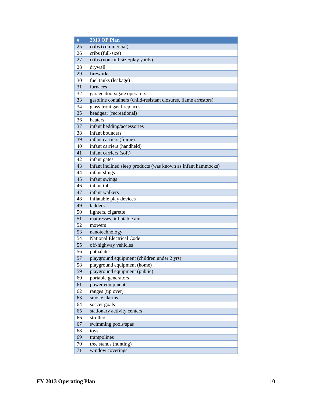| $\#$ | <b>2013 OP Plan</b>                                             |
|------|-----------------------------------------------------------------|
| 25   | cribs (commercial)                                              |
| 26   | cribs (full-size)                                               |
| 27   | cribs (non-full-size/play yards)                                |
| 28   | drywall                                                         |
| 29   | fireworks                                                       |
| 30   | fuel tanks (leakage)                                            |
| 31   | furnaces                                                        |
| 32   | garage doors/gate operators                                     |
| 33   | gasoline containers (child-resistant closures, flame arrestors) |
| 34   | glass front gas fireplaces                                      |
| 35   | headgear (recreational)                                         |
| 36   | heaters                                                         |
| 37   | infant bedding/accessories                                      |
| 38   | infant bouncers                                                 |
| 39   | infant carriers (frame)                                         |
| 40   | infant carriers (handheld)                                      |
| 41   | infant carriers (soft)                                          |
| 42   | infant gates                                                    |
| 43   | infant inclined sleep products (was known as infant hammocks)   |
| 44   | infant slings                                                   |
| 45   | infant swings                                                   |
| 46   | infant tubs                                                     |
| 47   | infant walkers                                                  |
| 48   | inflatable play devices                                         |
| 49   | ladders                                                         |
| 50   | lighters, cigarette                                             |
| 51   | mattresses, inflatable air                                      |
| 52   | mowers                                                          |
| 53   | nanotechnology                                                  |
| 54   | <b>National Electrical Code</b>                                 |
| 55   | off-highway vehicles                                            |
| 56   | phthalates                                                      |
| 57   | playground equipment (children under 2 yrs)                     |
| 58   | playground equipment (home)                                     |
| 59   | playground equipment (public)                                   |
| 60   | portable generators                                             |
| 61   | power equipment                                                 |
| 62   | ranges (tip over)                                               |
| 63   | smoke alarms                                                    |
| 64   | soccer goals                                                    |
| 65   | stationary activity centers                                     |
| 66   | strollers                                                       |
| 67   | swimming pools/spas                                             |
| 68   | toys                                                            |
| 69   | trampolines                                                     |
| 70   | tree stands (hunting)                                           |
| 71   | window coverings                                                |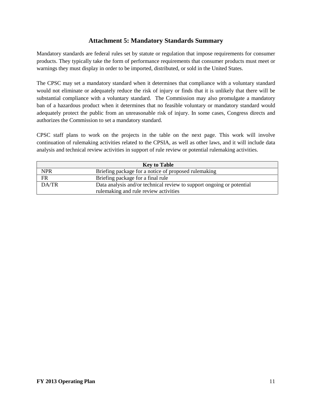# **Attachment 5: Mandatory Standards Summary**

Mandatory standards are federal rules set by statute or regulation that impose requirements for consumer products. They typically take the form of performance requirements that consumer products must meet or warnings they must display in order to be imported, distributed, or sold in the United States.

The CPSC may set a mandatory standard when it determines that compliance with a voluntary standard would not eliminate or adequately reduce the risk of injury or finds that it is unlikely that there will be substantial compliance with a voluntary standard. The Commission may also promulgate a mandatory ban of a hazardous product when it determines that no feasible voluntary or mandatory standard would adequately protect the public from an unreasonable risk of injury. In some cases, Congress directs and authorizes the Commission to set a mandatory standard.

CPSC staff plans to work on the projects in the table on the next page. This work will involve continuation of rulemaking activities related to the CPSIA, as well as other laws, and it will include data analysis and technical review activities in support of rule review or potential rulemaking activities.

| <b>Key to Table</b> |                                                                       |  |  |  |
|---------------------|-----------------------------------------------------------------------|--|--|--|
| <b>NPR</b>          | Briefing package for a notice of proposed rulemaking                  |  |  |  |
| <b>FR</b>           | Briefing package for a final rule                                     |  |  |  |
| DA/TR               | Data analysis and/or technical review to support ongoing or potential |  |  |  |
|                     | rulemaking and rule review activities                                 |  |  |  |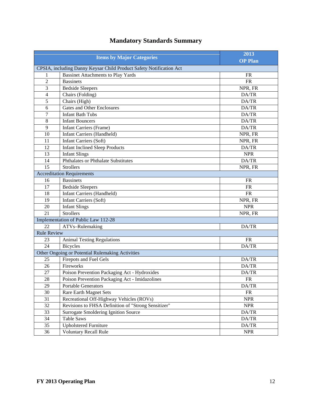|                                                                     | 2013                                                |                |  |  |  |  |  |
|---------------------------------------------------------------------|-----------------------------------------------------|----------------|--|--|--|--|--|
|                                                                     | <b>Items by Major Categories</b>                    | <b>OP Plan</b> |  |  |  |  |  |
| CPSIA, including Danny Keysar Child Product Safety Notification Act |                                                     |                |  |  |  |  |  |
| 1                                                                   | <b>Bassinet Attachments to Play Yards</b>           | <b>FR</b>      |  |  |  |  |  |
| $\overline{2}$                                                      | <b>Bassinets</b>                                    | <b>FR</b>      |  |  |  |  |  |
| 3                                                                   | <b>Bedside Sleepers</b>                             | NPR, FR        |  |  |  |  |  |
| $\overline{4}$                                                      | Chairs (Folding)                                    | DA/TR          |  |  |  |  |  |
| 5                                                                   | Chairs (High)                                       | DA/TR          |  |  |  |  |  |
| 6                                                                   | <b>Gates and Other Enclosures</b>                   | DA/TR          |  |  |  |  |  |
| 7                                                                   | <b>Infant Bath Tubs</b>                             | DA/TR          |  |  |  |  |  |
| 8                                                                   | <b>Infant Bouncers</b>                              | DA/TR          |  |  |  |  |  |
| 9                                                                   | <b>Infant Carriers (Frame)</b>                      | DA/TR          |  |  |  |  |  |
| 10                                                                  | Infant Carriers (Handheld)                          | NPR, FR        |  |  |  |  |  |
| 11                                                                  | <b>Infant Carriers (Soft)</b>                       | NPR, FR        |  |  |  |  |  |
| 12                                                                  | <b>Infant Inclined Sleep Products</b>               | DA/TR          |  |  |  |  |  |
| 13                                                                  | <b>Infant Slings</b>                                | <b>NPR</b>     |  |  |  |  |  |
| 14                                                                  | Phthalates or Phthalate Substitutes                 | DA/TR          |  |  |  |  |  |
| 15                                                                  | <b>Strollers</b>                                    | NPR, FR        |  |  |  |  |  |
|                                                                     | <b>Accreditation Requirements</b>                   |                |  |  |  |  |  |
| 16                                                                  | <b>Bassinets</b>                                    | <b>FR</b>      |  |  |  |  |  |
| 17                                                                  | <b>Bedside Sleepers</b>                             | <b>FR</b>      |  |  |  |  |  |
| 18                                                                  | <b>Infant Carriers (Handheld)</b>                   | <b>FR</b>      |  |  |  |  |  |
| 19                                                                  | <b>Infant Carriers (Soft)</b>                       | NPR, FR        |  |  |  |  |  |
| 20                                                                  | <b>Infant Slings</b>                                | <b>NPR</b>     |  |  |  |  |  |
| 21                                                                  | <b>Strollers</b>                                    | NPR, FR        |  |  |  |  |  |
|                                                                     | Implementation of Public Law 112-28                 |                |  |  |  |  |  |
| 22                                                                  | ATVs-Rulemaking                                     | DA/TR          |  |  |  |  |  |
| <b>Rule Review</b>                                                  |                                                     |                |  |  |  |  |  |
| 23                                                                  | <b>Animal Testing Regulations</b>                   | <b>FR</b>      |  |  |  |  |  |
| 24                                                                  | <b>Bicycles</b>                                     | DA/TR          |  |  |  |  |  |
|                                                                     | Other Ongoing or Potential Rulemaking Activities    |                |  |  |  |  |  |
| 25                                                                  | Firepots and Fuel Gels                              | DA/TR          |  |  |  |  |  |
| 26                                                                  | Fireworks                                           | DA/TR          |  |  |  |  |  |
| 27                                                                  | Poison Prevention Packaging Act - Hydroxides        | DA/TR          |  |  |  |  |  |
| $\overline{28}$                                                     | Poison Prevention Packaging Act - Imidazolines      | ${\sf FR}$     |  |  |  |  |  |
| 29                                                                  | <b>Portable Generators</b>                          | DA/TR          |  |  |  |  |  |
| 30                                                                  | <b>Rare Earth Magnet Sets</b>                       | FR             |  |  |  |  |  |
| 31                                                                  | Recreational Off-Highway Vehicles (ROVs)            | <b>NPR</b>     |  |  |  |  |  |
| 32                                                                  | Revisions to FHSA Definition of "Strong Sensitizer" | <b>NPR</b>     |  |  |  |  |  |
| 33                                                                  | Surrogate Smoldering Ignition Source                | DA/TR          |  |  |  |  |  |
| 34                                                                  | <b>Table Saws</b>                                   | DA/TR          |  |  |  |  |  |
| 35                                                                  | <b>Upholstered Furniture</b>                        | DA/TR          |  |  |  |  |  |
| 36                                                                  | <b>Voluntary Recall Rule</b>                        | <b>NPR</b>     |  |  |  |  |  |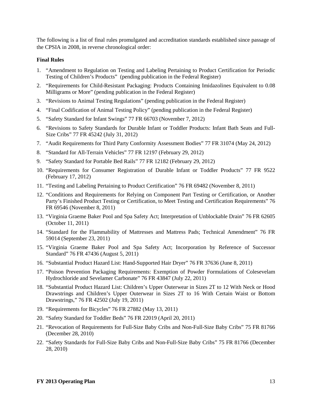The following is a list of final rules promulgated and accreditation standards established since passage of the CPSIA in 2008, in reverse chronological order:

#### **Final Rules**

- 1. "Amendment to Regulation on Testing and Labeling Pertaining to Product Certification for Periodic Testing of Children's Products" (pending publication in the Federal Register)
- 2. "Requirements for Child-Resistant Packaging: Products Containing Imidazolines Equivalent to 0.08 Milligrams or More" (pending publication in the Federal Register)
- 3. "Revisions to Animal Testing Regulations" (pending publication in the Federal Register)
- 4. "Final Codification of Animal Testing Policy" (pending publication in the Federal Register)
- 5. "Safety Standard for Infant Swings" 77 FR 66703 (November 7, 2012)
- 6. "Revisions to Safety Standards for Durable Infant or Toddler Products: Infant Bath Seats and Full-Size Cribs" 77 FR 45242 (July 31, 2012)
- 7. "Audit Requirements for Third Party Conformity Assessment Bodies" 77 FR 31074 (May 24, 2012)
- 8. "Standard for All-Terrain Vehicles" 77 FR 12197 (February 29, 2012)
- 9. "Safety Standard for Portable Bed Rails" 77 FR 12182 (February 29, 2012)
- 10. "Requirements for Consumer Registration of Durable Infant or Toddler Products" 77 FR 9522 (February 17, 2012)
- 11. "Testing and Labeling Pertaining to Product Certification" 76 FR 69482 (November 8, 2011)
- 12. "Conditions and Requirements for Relying on Component Part Testing or Certification, or Another Party's Finished Product Testing or Certification, to Meet Testing and Certification Requirements" 76 FR 69546 (November 8, 2011)
- 13. "Virginia Graeme Baker Pool and Spa Safety Act; Interpretation of Unblockable Drain" 76 FR 62605 (October 11, 2011)
- 14. "Standard for the Flammability of Mattresses and Mattress Pads; Technical Amendment" 76 FR 59014 (September 23, 2011)
- 15. "Virginia Graeme Baker Pool and Spa Safety Act; Incorporation by Reference of Successor Standard" 76 FR 47436 (August 5, 2011)
- 16. "Substantial Product Hazard List: Hand-Supported Hair Dryer" 76 FR 37636 (June 8, 2011)
- 17. "Poison Prevention Packaging Requirements: Exemption of Powder Formulations of Colesevelam Hydrochloride and Sevelamer Carbonate" 76 FR 43847 (July 22, 2011)
- 18. "Substantial Product Hazard List: Children's Upper Outerwear in Sizes 2T to 12 With Neck or Hood Drawstrings and Children's Upper Outerwear in Sizes 2T to 16 With Certain Waist or Bottom Drawstrings," 76 FR 42502 (July 19, 2011)
- 19. "Requirements for Bicycles" 76 FR 27882 (May 13, 2011)
- 20. "Safety Standard for Toddler Beds" 76 FR 22019 (April 20, 2011)
- 21. "Revocation of Requirements for Full-Size Baby Cribs and Non-Full-Size Baby Cribs" 75 FR 81766 (December 28, 2010)
- 22. "Safety Standards for Full-Size Baby Cribs and Non-Full-Size Baby Cribs" 75 FR 81766 (December 28, 2010)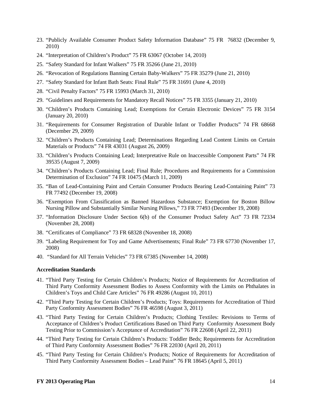- 23. "Publicly Available Consumer Product Safety Information Database" 75 FR 76832 (December 9, 2010)
- 24. "Interpretation of Children's Product" 75 FR 63067 (October 14, 2010)
- 25. "Safety Standard for Infant Walkers" 75 FR 35266 (June 21, 2010)
- 26. "Revocation of Regulations Banning Certain Baby-Walkers" 75 FR 35279 (June 21, 2010)
- 27. "Safety Standard for Infant Bath Seats: Final Rule" 75 FR 31691 (June 4, 2010)
- 28. "Civil Penalty Factors" 75 FR 15993 (March 31, 2010)
- 29. "Guidelines and Requirements for Mandatory Recall Notices" 75 FR 3355 (January 21, 2010)
- 30. "Children's Products Containing Lead; Exemptions for Certain Electronic Devices" 75 FR 3154 (January 20, 2010)
- 31. "Requirements for Consumer Registration of Durable Infant or Toddler Products" 74 FR 68668 (December 29, 2009)
- 32. "Children's Products Containing Lead; Determinations Regarding Lead Content Limits on Certain Materials or Products" 74 FR 43031 (August 26, 2009)
- 33. "Children's Products Containing Lead; Interpretative Rule on Inaccessible Component Parts" 74 FR 39535 (August 7, 2009)
- 34. "Children's Products Containing Lead; Final Rule; Procedures and Requirements for a Commission Determination of Exclusion" 74 FR 10475 (March 11, 2009)
- 35. "Ban of Lead-Containing Paint and Certain Consumer Products Bearing Lead-Containing Paint" 73 FR 77492 (December 19, 2008)
- 36. "Exemption From Classification as Banned Hazardous Substance; Exemption for Boston Billow Nursing Pillow and Substantially Similar Nursing Pillows," 73 FR 77493 (December 19, 2008)
- 37. "Information Disclosure Under Section 6(b) of the Consumer Product Safety Act" 73 FR 72334 (November 28, 2008)
- 38. "Certificates of Compliance" 73 FR 68328 (November 18, 2008)
- 39. "Labeling Requirement for Toy and Game Advertisements; Final Rule" 73 FR 67730 (November 17, 2008)
- 40. "Standard for All Terrain Vehicles" 73 FR 67385 (November 14, 2008)

#### **Accreditation Standards**

- 41. "Third Party Testing for Certain Children's Products; Notice of Requirements for Accreditation of Third Party Conformity Assessment Bodies to Assess Conformity with the Limits on Phthalates in Children's Toys and Child Care Articles" 76 FR 49286 (August 10, 2011)
- 42. "Third Party Testing for Certain Children's Products; Toys: Requirements for Accreditation of Third Party Conformity Assessment Bodies" 76 FR 46598 (August 3, 2011)
- 43. "Third Party Testing for Certain Children's Products; Clothing Textiles: Revisions to Terms of Acceptance of Children's Product Certifications Based on Third Party Conformity Assessment Body Testing Prior to Commission's Acceptance of Accreditation" 76 FR 22608 (April 22, 2011)
- <span id="page-15-0"></span>44. "Third Party Testing for Certain Children's Products: Toddler Beds; Requirements for Accreditation of Third Party Conformity Assessment Bodies" 76 FR 22030 (April 20, 2011)
- 45. "Third Party Testing for Certain Children's Products; Notice of Requirements for Accreditation of Third Party Conformity Assessment Bodies – Lead Paint" 76 FR 18645 (April 5, 2011)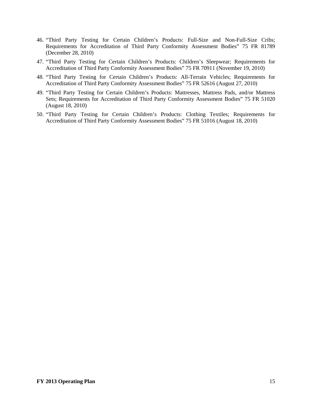- 46. "Third Party Testing for Certain Children's Products: Full-Size and Non-Full-Size Cribs; Requirements for Accreditation of Third Party Conformity Assessment Bodies" 75 FR 81789 (December 28, 2010)
- 47. "Third Party Testing for Certain Children's Products: Children's Sleepwear; Requirements for Accreditation of Third Party Conformity Assessment Bodies" 75 FR 70911 (November 19, 2010)
- 48. "Third Party Testing for Certain Children's Products: All-Terrain Vehicles; Requirements for Accreditation of Third Party Conformity Assessment Bodies" 75 FR 52616 (August 27, 2010)
- 49. "Third Party Testing for Certain Children's Products: Mattresses, Mattress Pads, and/or Mattress Sets; Requirements for Accreditation of Third Party Conformity Assessment Bodies" 75 FR 51020 (August 18, 2010)
- 50. "Third Party Testing for Certain Children's Products: Clothing Textiles; Requirements for Accreditation of Third Party Conformity Assessment Bodies" 75 FR 51016 (August 18, 2010)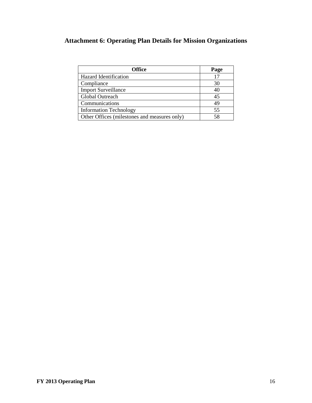# **Attachment 6: Operating Plan Details for Mission Organizations**

| <b>Office</b>                                | Page |
|----------------------------------------------|------|
| <b>Hazard Identification</b>                 | 17   |
| Compliance                                   | 30   |
| <b>Import Surveillance</b>                   | 40   |
| Global Outreach                              | 45   |
| Communications                               | 49   |
| <b>Information Technology</b>                | 55   |
| Other Offices (milestones and measures only) | 58   |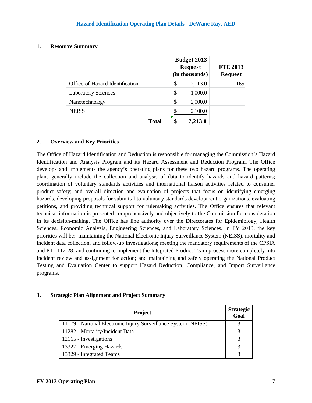#### **1. Resource Summary**

|                                 | Budget 2013<br><b>Request</b><br>(in thousands) | <b>FTE 2013</b><br>Request |
|---------------------------------|-------------------------------------------------|----------------------------|
| Office of Hazard Identification | \$<br>2,113.0                                   | 165                        |
| <b>Laboratory Sciences</b>      | \$<br>1,000.0                                   |                            |
| Nanotechnology                  | \$<br>2,000.0                                   |                            |
| <b>NEISS</b>                    | \$<br>2,100.0                                   |                            |
| Total                           | \$<br>7,213.0                                   |                            |

## **2. Overview and Key Priorities**

The Office of Hazard Identification and Reduction is responsible for managing the Commission's Hazard Identification and Analysis Program and its Hazard Assessment and Reduction Program. The Office develops and implements the agency's operating plans for these two hazard programs. The operating plans generally include the collection and analysis of data to identify hazards and hazard patterns; coordination of voluntary standards activities and international liaison activities related to consumer product safety; and overall direction and evaluation of projects that focus on identifying emerging hazards, developing proposals for submittal to voluntary standards development organizations, evaluating petitions, and providing technical support for rulemaking activities. The Office ensures that relevant technical information is presented comprehensively and objectively to the Commission for consideration in its decision-making. The Office has line authority over the Directorates for Epidemiology, Health Sciences, Economic Analysis, Engineering Sciences, and Laboratory Sciences. In FY 2013, the key priorities will be: maintaining the National Electronic Injury Surveillance System (NEISS), mortality and incident data collection, and follow-up investigations; meeting the mandatory requirements of the CPSIA and P.L. 112-28; and continuing to implement the Integrated Product Team process more completely into incident review and assignment for action; and maintaining and safely operating the National Product Testing and Evaluation Center to support Hazard Reduction, Compliance, and Import Surveillance programs.

#### **3. Strategic Plan Alignment and Project Summary**

| <b>Project</b>                                                 | <b>Strategic</b><br>Goal |
|----------------------------------------------------------------|--------------------------|
| 11179 - National Electronic Injury Surveillance System (NEISS) | 3                        |
| 11282 - Mortality/Incident Data                                | 2                        |
| 12165 - Investigations                                         |                          |
| 13327 - Emerging Hazards                                       |                          |
| 13329 - Integrated Teams                                       |                          |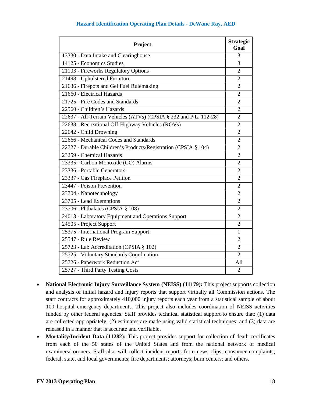| Project                                                           | <b>Strategic</b><br>Goal |
|-------------------------------------------------------------------|--------------------------|
| 13330 - Data Intake and Clearinghouse                             | 3                        |
| 14125 - Economics Studies                                         | 3                        |
| 21103 - Fireworks Regulatory Options                              | $\overline{2}$           |
| 21498 - Upholstered Furniture                                     | $\overline{2}$           |
| 21636 - Firepots and Gel Fuel Rulemaking                          | $\overline{2}$           |
| 21660 - Electrical Hazards                                        | $\overline{2}$           |
| 21725 - Fire Codes and Standards                                  | $\overline{2}$           |
| 22560 - Children's Hazards                                        | $\overline{2}$           |
| 22637 - All-Terrain Vehicles (ATVs) (CPSIA § 232 and P.L. 112-28) | $\overline{2}$           |
| 22638 - Recreational Off-Highway Vehicles (ROVs)                  | $\overline{2}$           |
| 22642 - Child Drowning                                            | $\overline{2}$           |
| 22666 - Mechanical Codes and Standards                            | $\overline{2}$           |
| 22727 - Durable Children's Products/Registration (CPSIA § 104)    | $\overline{2}$           |
| 23259 - Chemical Hazards                                          | $\overline{2}$           |
| 23335 - Carbon Monoxide (CO) Alarms                               | $\overline{2}$           |
| 23336 - Portable Generators                                       | $\overline{2}$           |
| 23337 - Gas Fireplace Petition                                    | $\overline{2}$           |
| 23447 - Poison Prevention                                         | $\overline{2}$           |
| 23704 - Nanotechnology                                            | $\overline{2}$           |
| 23705 - Lead Exemptions                                           | $\overline{2}$           |
| 23706 - Phthalates (CPSIA § 108)                                  | $\overline{2}$           |
| 24013 - Laboratory Equipment and Operations Support               | $\overline{2}$           |
| 24505 - Project Support                                           | $\overline{2}$           |
| 25375 - International Program Support                             | $\mathbf{1}$             |
| 25547 - Rule Review                                               | $\overline{2}$           |
| 25723 - Lab Accreditation (CPSIA § 102)                           | $\overline{2}$           |
| 25725 - Voluntary Standards Coordination                          | $\overline{2}$           |
| 25726 - Paperwork Reduction Act                                   | All                      |
| 25727 - Third Party Testing Costs                                 | $\overline{2}$           |

- **National Electronic Injury Surveillance System (NEISS) (11179):** This project supports collection and analysis of initial hazard and injury reports that support virtually all Commission actions. The staff contracts for approximately 410,000 injury reports each year from a statistical sample of about hospital emergency departments. This project also includes coordination of NEISS activities funded by other federal agencies. Staff provides technical statistical support to ensure that: (1) data are collected appropriately; (2) estimates are made using valid statistical techniques; and (3) data are released in a manner that is accurate and verifiable.
- **Mortality/Incident Data (11282):** This project provides support for collection of death certificates from each of the 50 states of the United States and from the national network of medical examiners/coroners. Staff also will collect incident reports from news clips; consumer complaints; federal, state, and local governments; fire departments; attorneys; burn centers; and others.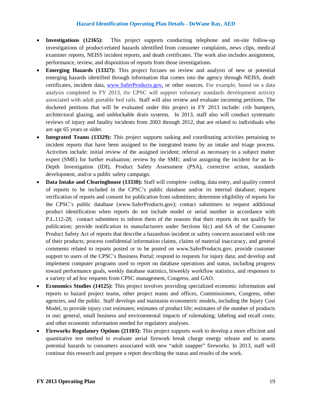- **Investigations (12165):** This project supports conducting telephone and on-site follow-up investigations of product-related hazards identified from consumer complaints, news clips, medical examiner reports, NEISS incident reports, and death certificates. The work also includes assignment, performance, review, and disposition of reports from those investigations.
- **Emerging Hazards (13327):** This project focuses on review and analysis of new or potential emerging hazards identified through information that comes into the agency through NEISS, death certificates, incident data, [www.SaferProducts.gov,](http://www.saferproducts.gov/) or other sources. For example, based on a data analysis completed in FY 2013, the CPSC will support voluntary standards development activity associated with adult portable bed rails. Staff will also review and evaluate incoming petitions. The docketed petitions that will be evaluated under this project in FY 2013 include: crib bumpers, architectural glazing, and unblockable drain systems. In 2013, staff also will conduct systematic reviews of injury and fatality incidents from 2003 through 2012, that are related to individuals who are age 65 years or older.
- **Integrated Teams (13329):** This project supports tasking and coordinating activities pertaining to incident reports that have been assigned to the integrated teams by an intake and triage process. Activities include: initial review of the assigned incident; referral as necessary to a subject matter expert (SME) for further evaluation; review by the SME; and/or assigning the incident for an In-Depth Investigation (IDI), Product Safety Assessment (PSA), corrective action, standards development, and/or a public safety campaign.
- **Data Intake and Clearinghouse (13330):** Staff will complete coding, data entry, and quality control of reports to be included in the CPSC's public database and/or its internal database; request verification of reports and consent for publication from submitters; determine eligibility of reports for the CPSC's public database (www.SaferProducts.gov); contact submitters to request additional product identification when reports do not include model or serial number in accordance with P.L.112-28; contact submitters to inform them of the reasons that their reports do not qualify for publication; provide notification to manufacturers under Sections 6(c) and 6A of the Consumer Product Safety Act of reports that describe a hazardous incident or safety concern associated with one of their products; process confidential information claims, claims of material inaccuracy, and general comments related to reports posted or to be posted on www.SaferProducts.gov; provide customer support to users of the CPSC's Business Portal; respond to requests for injury data; and develop and implement computer programs used to report on database operations and status, including progress toward performance goals, weekly database statistics, biweekly workflow statistics, and responses to a variety of ad hoc requests from CPSC management, Congress, and GAO.
- **Economics Studies (14125):** This project involves providing specialized economic information and reports to hazard project teams, other project teams and offices, Commissioners, Congress, other agencies, and the public. Staff develops and maintains econometric models, including the Injury Cost Model, to provide injury cost estimates; estimates of product life; estimates of the number of products in use; general, small business and environmental impacts of rulemaking; labeling and recall costs; and other economic information needed for regulatory analyses.
- **Fireworks Regulatory Options (21103):** This project supports work to develop a more efficient and quantitative test method to evaluate aerial firework break charge energy release and to assess potential hazards to consumers associated with new "adult snapper" fireworks. In 2013, staff will continue this research and prepare a report describing the status and results of the work.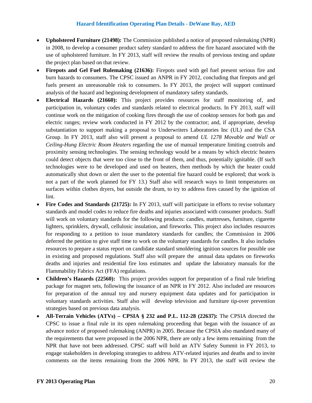- **Upholstered Furniture (21498):** The Commission published a notice of proposed rulemaking (NPR) in 2008, to develop a consumer product safety standard to address the fire hazard associated with the use of upholstered furniture. In FY 2013, staff will review the results of previous testing and update the project plan based on that review.
- **Firepots and Gel Fuel Rulemaking (21636):** Firepots used with gel fuel present serious fire and burn hazards to consumers. The CPSC issued an ANPR in FY 2012, concluding that firepots and gel fuels present an unreasonable risk to consumers. In FY 2013, the project will support continued analysis of the hazard and beginning development of mandatory safety standards.
- **Electrical Hazards (21660):** This project provides resources for staff monitoring of, and participation in, voluntary codes and standards related to electrical products. In FY 2013, staff will continue work on the mitigation of cooking fires through the use of cooktop sensors for both gas and electric ranges; review work conducted in FY 2012 by the contractor; and, if appropriate, develop substantiation to support making a proposal to Underwriters Laboratories Inc (UL) and the CSA Group. In FY 2013, staff also will present a proposal to amend *UL 1278 Movable and Wall or Ceiling-Hung Electric Room Heaters* regarding the use of manual temperature limiting controls and proximity sensing technologies. The sensing technology would be a means by which electric heaters could detect objects that were too close to the front of them, and thus, potentially ignitable. (If such technologies were to be developed and used on heaters, then methods by which the heater could automatically shut down or alert the user to the potential fire hazard could be explored; that work is not a part of the work planned for FY 13.) Staff also will research ways to limit temperatures on surfaces within clothes dryers, but outside the drum, to try to address fires caused by the ignition of lint.
- **Fire Codes and Standards (21725):** In FY 2013, staff will participate in efforts to revise voluntary standards and model codes to reduce fire deaths and injuries associated with consumer products. Staff will work on voluntary standards for the following products: candles, mattresses, furniture, cigarette lighters, sprinklers, drywall, cellulosic insulation, and fireworks. This project also includes resources for responding to a petition to issue mandatory standards for candles; the Commission in 2006 deferred the petition to give staff time to work on the voluntary standards for candles. It also includes resources to prepare a status report on candidate standard smoldering ignition sources for possible use in existing and proposed regulations. Staff also will prepare the annual data updates on fireworks deaths and injuries and residential fire loss estimates and update the laboratory manuals for the Flammability Fabrics Act (FFA) regulations.
- **Children's Hazards (22560):** This project provides support for preparation of a final rule briefing package for magnet sets, following the issuance of an NPR in FY 2012. Also included are resources for preparation of the annual toy and nursery equipment data updates and for participation in voluntary standards activities. Staff also will develop television and furniture tip-over prevention strategies based on previous data analysis.
- **All-Terrain Vehicles (ATVs) – CPSIA § 232 and P.L. 112-28 (22637):** The CPSIA directed the CPSC to issue a final rule in its open rulemaking proceeding that began with the issuance of an advance notice of proposed rulemaking (ANPR) in 2005. Because the CPSIA also mandated many of the requirements that were proposed in the 2006 NPR, there are only a few items remaining from the NPR that have not been addressed. CPSC staff will hold an ATV Safety Summit in FY 2013, to engage stakeholders in developing strategies to address ATV-related injuries and deaths and to invite comments on the items remaining from the 2006 NPR. In FY 2013, the staff will review the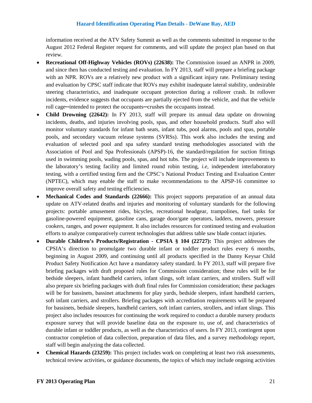information received at the ATV Safety Summit as well as the comments submitted in response to the August 2012 Federal Register request for comments, and will update the project plan based on that review.

- **Recreational Off-Highway Vehicles (ROVs) (22638):** The Commission issued an ANPR in 2009, and since then has conducted testing and evaluation. In FY 2013, staff will prepare a briefing package with an NPR. ROVs are a relatively new product with a significant injury rate. Preliminary testing and evaluation by CPSC staff indicate that ROVs may exhibit inadequate lateral stability, undesirable steering characteristics, and inadequate occupant protection during a rollover crash. In rollover incidents, evidence suggests that occupants are partially ejected from the vehicle, and that the vehicle roll cage—intended to protect the occupants—crushes the occupants instead.
- **Child Drowning (22642):** In FY 2013, staff will prepare its annual data update on drowning incidents, deaths, and injuries involving pools, spas, and other household products. Staff also will monitor voluntary standards for infant bath seats, infant tubs, pool alarms, pools and spas, portable pools, and secondary vacuum release systems (SVRSs). This work also includes the testing and evaluation of selected pool and spa safety standard testing methodologies associated with the Association of Pool and Spa Professionals (APSP)-16, the standard/regulation for suction fittings used in swimming pools, wading pools, spas, and hot tubs. The project will include improvements to the laboratory's testing facility and limited round robin testing, *i.e,* independent interlaboratory testing, with a certified testing firm and the CPSC's National Product Testing and Evaluation Center (NPTEC), which may enable the staff to make recommendations to the APSP-16 committee to improve overall safety and testing efficiencies.
- **Mechanical Codes and Standards (22666):** This project supports preparation of an annual data update on ATV-related deaths and injuries and monitoring of voluntary standards for the following projects: portable amusement rides, bicycles, recreational headgear, trampolines, fuel tanks for gasoline-powered equipment, gasoline cans, garage door/gate operators, ladders, mowers, pressure cookers, ranges, and power equipment. It also includes resources for continued testing and evaluation efforts to analyze comparatively current technologies that address table saw blade contact injuries.
- **Durable Children's Products/Registration - CPSIA § 104 (22727):** This project addresses the CPSIA's direction to promulgate two durable infant or toddler product rules every 6 months, beginning in August 2009, and continuing until all products specified in the Danny Keysar Child Product Safety Notification Act have a mandatory safety standard. In FY 2013, staff will prepare five briefing packages with draft proposed rules for Commission consideration; these rules will be for bedside sleepers, infant handheld carriers, infant slings, soft infant carriers, and strollers. Staff will also prepare six briefing packages with draft final rules for Commission consideration; these packages will be for bassinets, bassinet attachments for play yards, bedside sleepers, infant handheld carriers, soft infant carriers, and strollers. Briefing packages with accreditation requirements will be prepared for bassinets, bedside sleepers, handheld carriers, soft infant carriers, strollers, and infant slings. This project also includes resources for continuing the work required to conduct a durable nursery products exposure survey that will provide baseline data on the exposure to, use of, and characteristics of durable infant or toddler products, as well as the characteristics of users. In FY 2013, contingent upon contractor completion of data collection, preparation of data files, and a survey methodology report, staff will begin analyzing the data collected.
- **Chemical Hazards (23259):** This project includes work on completing at least two risk assessments, technical review activities, or guidance documents, the topics of which may include ongoing activities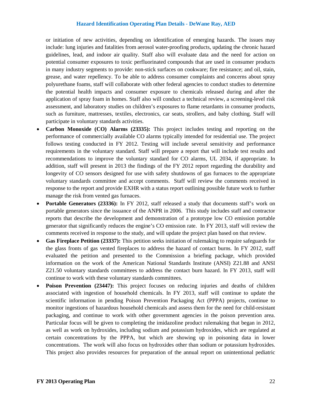or initiation of new activities, depending on identification of emerging hazards. The issues may include: lung injuries and fatalities from aerosol water-proofing products, updating the chronic hazard guidelines, lead, and indoor air quality. Staff also will evaluate data and the need for action on potential consumer exposures to toxic perfluorinated compounds that are used in consumer products in many industry segments to provide: non-stick surfaces on cookware; fire resistance; and oil, stain, grease, and water repellency. To be able to address consumer complaints and concerns about spray polyurethane foams, staff will collaborate with other federal agencies to conduct studies to determine the potential health impacts and consumer exposure to chemicals released during and after the application of spray foam in homes. Staff also will conduct a technical review, a screening-level risk assessment, and laboratory studies on children's exposures to flame retardants in consumer products, such as furniture, mattresses, textiles, electronics, car seats, strollers, and baby clothing. Staff will participate in voluntary standards activities.

- **Carbon Monoxide (CO) Alarms (23335):** This project includes testing and reporting on the performance of commercially available CO alarms typically intended for residential use. The project follows testing conducted in FY 2012. Testing will include several sensitivity and performance requirements in the voluntary standard. Staff will prepare a report that will include test results and recommendations to improve the voluntary standard for CO alarms, UL 2034, if appropriate. In addition, staff will present in 2013 the findings of the FY 2012 report regarding the durability and longevity of CO sensors designed for use with safety shutdowns of gas furnaces to the appropriate voluntary standards committee and accept comments. Staff will review the comments received in response to the report and provide EXHR with a status report outlining possible future work to further manage the risk from vented gas furnaces.
- **Portable Generators (23336):** In FY 2012, staff released a study that documents staff's work on portable generators since the issuance of the ANPR in 2006. This study includes staff and contractor reports that describe the development and demonstration of a prototype low CO emission portable generator that significantly reduces the engine's CO emission rate. In FY 2013, staff will review the comments received in response to the study, and will update the project plan based on that review.
- **Gas Fireplace Petition (23337):** This petition seeks initiation of rulemaking to require safeguards for the glass fronts of gas vented fireplaces to address the hazard of contact burns. In FY 2012, staff evaluated the petition and presented to the Commission a briefing package, which provided information on the work of the American National Standards Institute (ANSI) Z21.88 and ANSI Z21.50 voluntary standards committees to address the contact burn hazard. In FY 2013, staff will continue to work with these voluntary standards committees.
- **Poison Prevention** (23447): This project focuses on reducing injuries and deaths of children associated with ingestion of household chemicals. In FY 2013, staff will continue to update the scientific information in pending Poison Prevention Packaging Act (PPPA) projects, continue to monitor ingestions of hazardous household chemicals and assess them for the need for child-resistant packaging, and continue to work with other government agencies in the poison prevention area. Particular focus will be given to completing the imidazoline product rulemaking that began in 2012, as well as work on hydroxides, including sodium and potassium hydroxides, which are regulated at certain concentrations by the PPPA, but which are showing up in poisoning data in lower concentrations. The work will also focus on hydroxides other than sodium or potassium hydroxides. This project also provides resources for preparation of the annual report on unintentional pediatric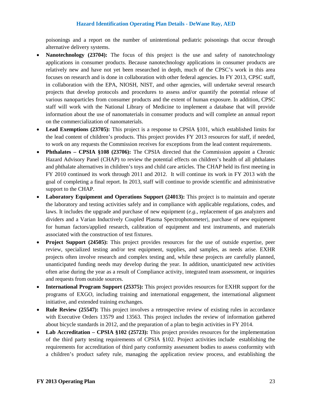poisonings and a report on the number of unintentional pediatric poisonings that occur through alternative delivery systems.

- **Nanotechnology (23704):** The focus of this project is the use and safety of nanotechnology applications in consumer products. Because nanotechnology applications in consumer products are relatively new and have not yet been researched in depth, much of the CPSC's work in this area focuses on research and is done in collaboration with other federal agencies. In FY 2013, CPSC staff, in collaboration with the EPA, NIOSH, NIST, and other agencies, will undertake several research projects that develop protocols and procedures to assess and/or quantify the potential release of various nanoparticles from consumer products and the extent of human exposure. In addition, CPSC staff will work with the National Library of Medicine to implement a database that will provide information about the use of nanomaterials in consumer products and will complete an annual report on the commercialization of nanomaterials.
- **Lead Exemptions (23705):** This project is a response to CPSIA §101, which established limits for the lead content of children's products. This project provides FY 2013 resources for staff, if needed, to work on any requests the Commission receives for exceptions from the lead content requirements.
- **Phthalates – CPSIA §108 (23706):** The CPSIA directed that the Commission appoint a Chronic Hazard Advisory Panel (CHAP) to review the potential effects on children's health of all phthalates and phthalate alternatives in children's toys and child care articles. The CHAP held its first meeting in FY 2010 continued its work through 2011 and 2012. It will continue its work in FY 2013 with the goal of completing a final report. In 2013, staff will continue to provide scientific and administrative support to the CHAP.
- **Laboratory Equipment and Operations Support (24013):** This project is to maintain and operate the laboratory and testing activities safely and in compliance with applicable regulations, codes, and laws. It includes the upgrade and purchase of new equipment (*e.g.,* replacement of gas analyzers and dividers and a Varian Inductively Coupled Plasma Spectrophotometer), purchase of new equipment for human factors/applied research, calibration of equipment and test instruments, and materials associated with the construction of test fixtures.
- **Project Support (24505):** This project provides resources for the use of outside expertise, peer review, specialized testing and/or test equipment, supplies, and samples, as needs arise. EXHR projects often involve research and complex testing and, while these projects are carefully planned, unanticipated funding needs may develop during the year. In addition, unanticipated new activities often arise during the year as a result of Compliance activity, integrated team assessment, or inquiries and requests from outside sources.
- **International Program Support (25375):** This project provides resources for EXHR support for the programs of EXGO, including training and international engagement, the international alignment initiative, and extended training exchanges.
- **Rule Review (25547):** This project involves a retrospective review of existing rules in accordance with Executive Orders 13579 and 13563. This project includes the review of information gathered about bicycle standards in 2012, and the preparation of a plan to begin activities in FY 2014.
- **Lab Accreditation – CPSIA §102 (25723):** This project provides resources for the implementation of the third party testing requirements of CPSIA §102. Project activities include establishing the requirements for accreditation of third party conformity assessment bodies to assess conformity with a children's product safety rule, managing the application review process, and establishing the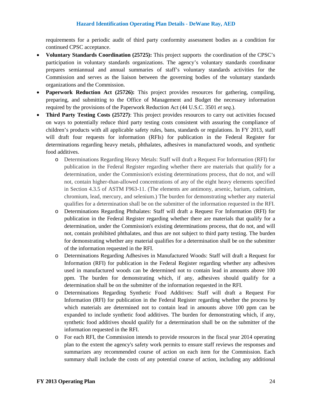requirements for a periodic audit of third party conformity assessment bodies as a condition for continued CPSC acceptance.

- **Voluntary Standards Coordination (25725):** This project supports the coordination of the CPSC's participation in voluntary standards organizations. The agency's voluntary standards coordinator prepares semiannual and annual summaries of staff's voluntary standards activities for the Commission and serves as the liaison between the governing bodies of the voluntary standards organizations and the Commission.
- **Paperwork Reduction Act (25726):** This project provides resources for gathering, compiling, preparing, and submitting to the Office of Management and Budget the necessary information required by the provisions of the Paperwork Reduction Act (44 U.S.C. 3501 *et seq*.).
- **Third Party Testing Costs (25727)**: This project provides resources to carry out activities focused on ways to potentially reduce third party testing costs consistent with assuring the compliance of children's products with all applicable safety rules, bans, standards or regulations. In FY 2013, staff will draft four requests for information (RFIs) for publication in the Federal Register for determinations regarding heavy metals, phthalates, adhesives in manufactured woods, and synthetic food additives.
	- o Determinations Regarding Heavy Metals: Staff will draft a Request For Information (RFI) for publication in the Federal Register regarding whether there are materials that qualify for a determination, under the Commission's existing determinations process, that do not, and will not, contain higher-than-allowed concentrations of any of the eight heavy elements specified in Section 4.3.5 of ASTM F963-11. (The elements are antimony, arsenic, barium, cadmium, chromium, lead, mercury, and selenium.) The burden for demonstrating whether any material qualifies for a determination shall be on the submitter of the information requested in the RFI.
	- o Determinations Regarding Phthalates: Staff will draft a Request For Information (RFI) for publication in the Federal Register regarding whether there are materials that qualify for a determination, under the Commission's existing determinations process, that do not, and will not, contain prohibited phthalates, and thus are not subject to third party testing. The burden for demonstrating whether any material qualifies for a determination shall be on the submitter of the information requested in the RFI.
	- o Determinations Regarding Adhesives in Manufactured Woods: Staff will draft a Request for Information (RFI) for publication in the Federal Register regarding whether any adhesives used in manufactured woods can be determined not to contain lead in amounts above 100 ppm. The burden for demonstrating which, if any, adhesives should qualify for a determination shall be on the submitter of the information requested in the RFI.
	- o Determinations Regarding Synthetic Food Additives: Staff will draft a Request For Information (RFI) for publication in the Federal Register regarding whether the process by which materials are determined not to contain lead in amounts above 100 ppm can be expanded to include synthetic food additives. The burden for demonstrating which, if any, synthetic food additives should qualify for a determination shall be on the submitter of the information requested in the RFI.
	- o For each RFI, the Commission intends to provide resources in the fiscal year 2014 operating plan to the extent the agency's safety work permits to ensure staff reviews the responses and summarizes any recommended course of action on each item for the Commission. Each summary shall include the costs of any potential course of action, including any additional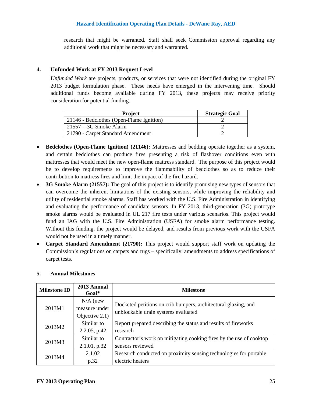research that might be warranted. Staff shall seek Commission approval regarding any additional work that might be necessary and warranted.

#### **4. Unfunded Work at FY 2013 Request Level**

*Unfunded Work* are projects, products, or services that were not identified during the original FY 2013 budget formulation phase. These needs have emerged in the intervening time. Should additional funds become available during FY 2013, these projects may receive priority consideration for potential funding.

| <b>Project</b>                           | <b>Strategic Goal</b> |
|------------------------------------------|-----------------------|
| 21146 - Bedclothes (Open-Flame Ignition) |                       |
| 21557 - 3G Smoke Alarm                   |                       |
| 21790 - Carpet Standard Amendment        |                       |

- **Bedclothes (Open-Flame Ignition) (21146):** Mattresses and bedding operate together as a system, and certain bedclothes can produce fires presenting a risk of flashover conditions even with mattresses that would meet the new open-flame mattress standard. The purpose of this project would be to develop requirements to improve the flammability of bedclothes so as to reduce their contribution to mattress fires and limit the impact of the fire hazard.
- **3G Smoke Alarm (21557):** The goal of this project is to identify promising new types of sensors that can overcome the inherent limitations of the existing sensors, while improving the reliability and utility of residential smoke alarms. Staff has worked with the U.S. Fire Administration in identifying and evaluating the performance of candidate sensors. In FY 2013, third-generation (3G) prototype smoke alarms would be evaluated in UL 217 fire tests under various scenarios. This project would fund an IAG with the U.S. Fire Administration (USFA) for smoke alarm performance testing. Without this funding, the project would be delayed, and results from previous work with the USFA would not be used in a timely manner.
- **Carpet Standard Amendment (21790):** This project would support staff work on updating the Commission's regulations on carpets and rugs – specifically, amendments to address specifications of carpet tests.

| <b>Milestone ID</b> | 2013 Annual<br>$Goal*$ | <b>Milestone</b>                                                    |
|---------------------|------------------------|---------------------------------------------------------------------|
|                     | $N/A$ (new             | Docketed petitions on crib bumpers, architectural glazing, and      |
| 2013M1              | measure under          | unblockable drain systems evaluated                                 |
|                     | Objective 2.1)         |                                                                     |
| 2013M2              | Similar to             | Report prepared describing the status and results of fireworks      |
|                     | $2.2.05$ , p.42        | research                                                            |
| 2013M3              | Similar to             | Contractor's work on mitigating cooking fires by the use of cooktop |
|                     | 2.1.01, p.32           | sensors reviewed                                                    |
| 2013M4              | 2.1.02                 | Research conducted on proximity sensing technologies for portable   |
|                     | p.32                   | electric heaters                                                    |

#### **5. Annual Milestones**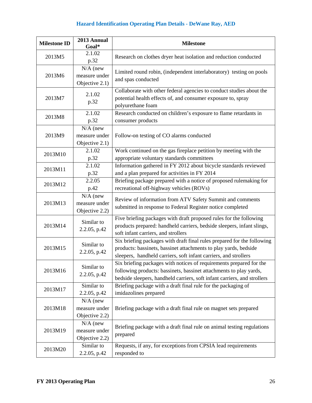| <b>Milestone ID</b> | 2013 Annual<br>Goal*                          | <b>Milestone</b>                                                                                                                                                                                                      |
|---------------------|-----------------------------------------------|-----------------------------------------------------------------------------------------------------------------------------------------------------------------------------------------------------------------------|
| 2013M5              | 2.1.02<br>p.32                                | Research on clothes dryer heat isolation and reduction conducted                                                                                                                                                      |
| 2013M6              | $N/A$ (new<br>measure under<br>Objective 2.1) | Limited round robin, (independent interlaboratory) testing on pools<br>and spas conducted                                                                                                                             |
| 2013M7              | 2.1.02<br>p.32                                | Collaborate with other federal agencies to conduct studies about the<br>potential health effects of, and consumer exposure to, spray<br>polyurethane foam                                                             |
| 2013M8              | 2.1.02<br>p.32                                | Research conducted on children's exposure to flame retardants in<br>consumer products                                                                                                                                 |
| 2013M9              | $N/A$ (new<br>measure under<br>Objective 2.1) | Follow-on testing of CO alarms conducted                                                                                                                                                                              |
| 2013M10             | 2.1.02<br>p.32                                | Work continued on the gas fireplace petition by meeting with the<br>appropriate voluntary standards committees                                                                                                        |
| 2013M11             | 2.1.02<br>p.32                                | Information gathered in FY 2012 about bicycle standards reviewed<br>and a plan prepared for activities in FY 2014                                                                                                     |
| 2013M12             | 2.2.05<br>p.42                                | Briefing package prepared with a notice of proposed rulemaking for<br>recreational off-highway vehicles (ROVs)                                                                                                        |
| 2013M13             | $N/A$ (new<br>measure under<br>Objective 2.2) | Review of information from ATV Safety Summit and comments<br>submitted in response to Federal Register notice completed                                                                                               |
| 2013M14             | Similar to<br>2.2.05, p.42                    | Five briefing packages with draft proposed rules for the following<br>products prepared: handheld carriers, bedside sleepers, infant slings,<br>soft infant carriers, and strollers                                   |
| 2013M15             | Similar to<br>2.2.05, p.42                    | Six briefing packages with draft final rules prepared for the following<br>products: bassinets, bassinet attachments to play yards, bedside<br>sleepers, handheld carriers, soft infant carriers, and strollers       |
| 2013M16             | Similar to<br>2.2.05, p.42                    | Six briefing packages with notices of requirements prepared for the<br>following products: bassinets, bassinet attachments to play yards,<br>bedside sleepers, handheld carriers, soft infant carriers, and strollers |
| 2013M17             | Similar to<br>2.2.05, p.42                    | Briefing package with a draft final rule for the packaging of<br>imidazolines prepared                                                                                                                                |
| 2013M18             | $N/A$ (new<br>measure under<br>Objective 2.2) | Briefing package with a draft final rule on magnet sets prepared                                                                                                                                                      |
| 2013M19             | $N/A$ (new<br>measure under<br>Objective 2.2) | Briefing package with a draft final rule on animal testing regulations<br>prepared                                                                                                                                    |
| 2013M20             | Similar to<br>2.2.05, p.42                    | Requests, if any, for exceptions from CPSIA lead requirements<br>responded to                                                                                                                                         |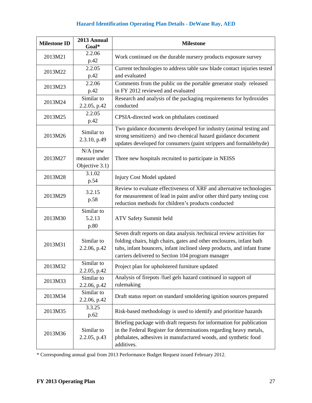| <b>Milestone ID</b> | 2013 Annual<br>Goal*                                     | <b>Milestone</b>                                                                                                                                                                                                                                                              |
|---------------------|----------------------------------------------------------|-------------------------------------------------------------------------------------------------------------------------------------------------------------------------------------------------------------------------------------------------------------------------------|
| 2013M21             | 2.2.06<br>p.42                                           | Work continued on the durable nursery products exposure survey                                                                                                                                                                                                                |
| 2013M22             | 2.2.05<br>p.42                                           | Current technologies to address table saw blade contact injuries tested<br>and evaluated                                                                                                                                                                                      |
| 2013M23             | 2.2.06<br>p.42                                           | Comments from the public on the portable generator study released<br>in FY 2012 reviewed and evaluated                                                                                                                                                                        |
| 2013M24             | $\overline{\text{Similar}}$ to<br>2.2.05, p.42           | Research and analysis of the packaging requirements for hydroxides<br>conducted                                                                                                                                                                                               |
| 2013M25             | 2.2.05<br>p.42                                           | CPSIA-directed work on phthalates continued                                                                                                                                                                                                                                   |
| 2013M26             | Similar to<br>2.3.10, p.49                               | Two guidance documents developed for industry (animal testing and<br>strong sensitizers) and two chemical hazard guidance document<br>updates developed for consumers (paint strippers and formaldehyde)                                                                      |
| 2013M27             | $\overline{N}/A$ (new<br>measure under<br>Objective 3.1) | Three new hospitals recruited to participate in NEISS                                                                                                                                                                                                                         |
| 2013M28             | 3.1.02<br>p.54                                           | Injury Cost Model updated                                                                                                                                                                                                                                                     |
| 2013M29             | 3.2.15<br>p.58                                           | Review to evaluate effectiveness of XRF and alternative technologies<br>for measurement of lead in paint and/or other third party testing cost<br>reduction methods for children's products conducted                                                                         |
| 2013M30             | Similar to<br>5.2.13<br>p.80                             | ATV Safety Summit held                                                                                                                                                                                                                                                        |
| 2013M31             | Similar to<br>2.2.06, p.42                               | Seven draft reports on data analysis /technical review activities for<br>folding chairs, high chairs, gates and other enclosures, infant bath<br>tubs, infant bouncers, infant inclined sleep products, and infant frame<br>carriers delivered to Section 104 program manager |
| 2013M32             | Similar to<br>2.2.05, p.42                               | Project plan for upholstered furniture updated                                                                                                                                                                                                                                |
| 2013M33             | Similar to<br>2.2.06, p.42                               | Analysis of firepots /fuel gels hazard continued in support of<br>rulemaking                                                                                                                                                                                                  |
| 2013M34             | Similar to<br>2.2.06, p.42                               | Draft status report on standard smoldering ignition sources prepared                                                                                                                                                                                                          |
| 2013M35             | 3.3.25<br>p.62                                           | Risk-based methodology is used to identify and prioritize hazards                                                                                                                                                                                                             |
| 2013M36             | Similar to<br>2.2.05, p.43                               | Briefing package with draft requests for information for publication<br>in the Federal Register for determinations regarding heavy metals,<br>phthalates, adhesives in manufactured woods, and synthetic food<br>additives.                                                   |

\* Corresponding annual goal from 2013 Performance Budget Request issued February 2012.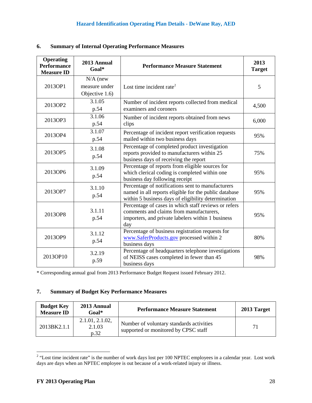| <b>Operating</b><br><b>Performance</b><br><b>Measure ID</b> | 2013 Annual<br>Goal*                          | <b>Performance Measure Statement</b>                                                                                                                              | 2013<br><b>Target</b> |
|-------------------------------------------------------------|-----------------------------------------------|-------------------------------------------------------------------------------------------------------------------------------------------------------------------|-----------------------|
| 2013OP1                                                     | $N/A$ (new<br>measure under<br>Objective 1.6) | Lost time incident rate <sup>2</sup>                                                                                                                              | 5                     |
| 2013OP2                                                     | 3.1.05<br>p.54                                | Number of incident reports collected from medical<br>examiners and coroners                                                                                       | 4,500                 |
| 2013OP3                                                     | 3.1.06<br>p.54                                | Number of incident reports obtained from news<br>clips                                                                                                            | 6,000                 |
| 2013OP4                                                     | 3.1.07<br>p.54                                | Percentage of incident report verification requests<br>mailed within two business days                                                                            | 95%                   |
| 2013OP5                                                     | 3.1.08<br>p.54                                | Percentage of completed product investigation<br>reports provided to manufacturers within 25<br>business days of receiving the report                             | 75%                   |
| 2013OP6                                                     | 3.1.09<br>p.54                                | Percentage of reports from eligible sources for<br>which clerical coding is completed within one<br>business day following receipt                                | 95%                   |
| 2013OP7                                                     | 3.1.10<br>p.54                                | Percentage of notifications sent to manufacturers<br>named in all reports eligible for the public database<br>within 5 business days of eligibility determination | 95%                   |
| 2013OP8                                                     | 3.1.11<br>p.54                                | Percentage of cases in which staff reviews or refers<br>comments and claims from manufacturers,<br>importers, and private labelers within 1 business<br>day       | 95%                   |
| 2013OP9                                                     | 3.1.12<br>p.54                                | Percentage of business registration requests for<br>www.SaferProducts.gov processed within 2<br>business days                                                     | 80%                   |
| 2013OP10                                                    | 3.2.19<br>p.59                                | Percentage of headquarters telephone investigations<br>of NEISS cases completed in fewer than 45<br>business days                                                 | 98%                   |

#### **6. Summary of Internal Operating Performance Measures**

\* Corresponding annual goal from 2013 Performance Budget Request issued February 2012.

#### **7. Summary of Budget Key Performance Measures**

| <b>Budget Key</b><br><b>Measure ID</b> | 2013 Annual<br>$Goal*$            | <b>Performance Measure Statement</b>                                             | 2013 Target |
|----------------------------------------|-----------------------------------|----------------------------------------------------------------------------------|-------------|
| 2013BK2.1.1                            | 2.1.01, 2.1.02,<br>2.1.03<br>p.32 | Number of voluntary standards activities<br>supported or monitored by CPSC staff | 71          |

<sup>&</sup>lt;sup>2</sup> "Lost time incident rate" is the number of work days lost per 100 NPTEC employees in a calendar year. Lost work days are days when an NPTEC employee is out because of a work-related injury or illness.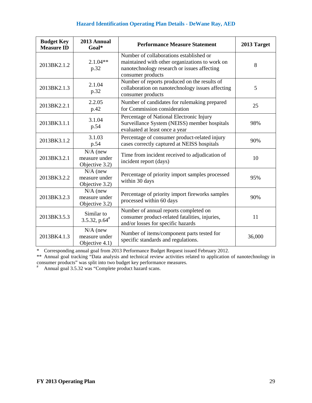| <b>Budget Key</b><br><b>Measure ID</b> | 2013 Annual<br>Goal*                          | <b>Performance Measure Statement</b>                                                                                                                          | 2013 Target |
|----------------------------------------|-----------------------------------------------|---------------------------------------------------------------------------------------------------------------------------------------------------------------|-------------|
| 2013BK2.1.2                            | $2.1.04**$<br>p.32                            | Number of collaborations established or<br>maintained with other organizations to work on<br>nanotechnology research or issues affecting<br>consumer products | 8           |
| 2013BK2.1.3                            | 2.1.04<br>p.32                                | Number of reports produced on the results of<br>collaboration on nanotechnology issues affecting<br>consumer products                                         | 5           |
| 2013BK2.2.1                            | 2.2.05<br>p.42                                | Number of candidates for rulemaking prepared<br>for Commission consideration                                                                                  | 25          |
| 2013BK3.1.1                            | 3.1.04<br>p.54                                | Percentage of National Electronic Injury<br>Surveillance System (NEISS) member hospitals<br>evaluated at least once a year                                    | 98%         |
| 2013BK3.1.2                            | 3.1.03<br>p.54                                | Percentage of consumer product-related injury<br>cases correctly captured at NEISS hospitals                                                                  | 90%         |
| 2013BK3.2.1                            | $N/A$ (new<br>measure under<br>Objective 3.2) | Time from incident received to adjudication of<br>incident report (days)                                                                                      | 10          |
| 2013BK3.2.2                            | $N/A$ (new<br>measure under<br>Objective 3.2) | Percentage of priority import samples processed<br>within 30 days                                                                                             | 95%         |
| 2013BK3.2.3                            | $N/A$ (new<br>measure under<br>Objective 3.2) | Percentage of priority import fireworks samples<br>processed within 60 days                                                                                   | 90%         |
| 2013BK3.5.3                            | Similar to<br>3.5.32, p.64 $#$                | Number of annual reports completed on<br>consumer product-related fatalities, injuries,<br>and/or losses for specific hazards                                 | 11          |
| 2013BK4.1.3                            | $N/A$ (new<br>measure under<br>Objective 4.1) | Number of items/component parts tested for<br>specific standards and regulations.                                                                             | 36,000      |

\* Corresponding annual goal from 2013 Performance Budget Request issued February 2012.

\*\* Annual goal tracking "Data analysis and technical review activities related to application of nanotechnology in consumer products" was split into two budget key performance measures. # Annual goal 3.5.32 was "Complete product hazard scans.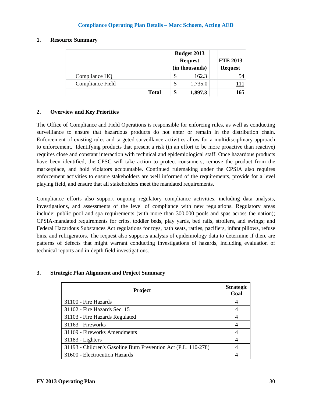#### **1. Resource Summary**

|                  | <b>Budget 2013</b><br><b>Request</b><br>(in thousands) |         | <b>FTE 2013</b><br><b>Request</b> |
|------------------|--------------------------------------------------------|---------|-----------------------------------|
| Compliance HQ    |                                                        | 162.3   | 54                                |
| Compliance Field |                                                        | 1,735.0 | .11                               |
| <b>Total</b>     | \$                                                     | 1,897.3 | 165                               |

#### **2. Overview and Key Priorities**

The Office of Compliance and Field Operations is responsible for enforcing rules, as well as conducting surveillance to ensure that hazardous products do not enter or remain in the distribution chain. Enforcement of existing rules and targeted surveillance activities allow for a multidisciplinary approach to enforcement. Identifying products that present a risk (in an effort to be more proactive than reactive) requires close and constant interaction with technical and epidemiological staff. Once hazardous products have been identified, the CPSC will take action to protect consumers, remove the product from the marketplace, and hold violators accountable. Continued rulemaking under the CPSIA also requires enforcement activities to ensure stakeholders are well informed of the requirements, provide for a level playing field, and ensure that all stakeholders meet the mandated requirements.

Compliance efforts also support ongoing regulatory compliance activities, including data analysis, investigations, and assessments of the level of compliance with new regulations. Regulatory areas include: public pool and spa requirements (with more than 300,000 pools and spas across the nation); CPSIA-mandated requirements for cribs, toddler beds, play yards, bed rails, strollers, and swings; and Federal Hazardous Substances Act regulations for toys, bath seats, rattles, pacifiers, infant pillows, refuse bins, and refrigerators. The request also supports analysis of epidemiology data to determine if there are patterns of defects that might warrant conducting investigations of hazards, including evaluation of technical reports and in-depth field investigations.

#### **3. Strategic Plan Alignment and Project Summary**

| Project                                                        | <b>Strategic</b><br>Goal |
|----------------------------------------------------------------|--------------------------|
| 31100 - Fire Hazards                                           |                          |
| 31102 - Fire Hazards Sec. 15                                   |                          |
| 31103 - Fire Hazards Regulated                                 |                          |
| 31163 - Fireworks                                              |                          |
| 31169 - Fireworks Amendments                                   |                          |
| $31183 - Lighters$                                             |                          |
| 31193 - Children's Gasoline Burn Prevention Act (P.L. 110-278) |                          |
| 31600 - Electrocution Hazards                                  |                          |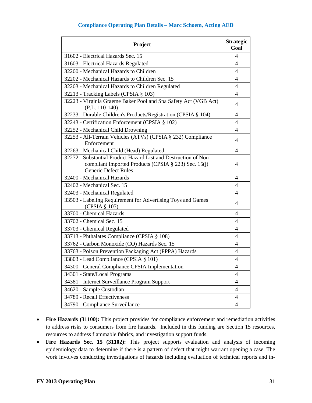| Project                                                                                                                                         | <b>Strategic</b><br>Goal |
|-------------------------------------------------------------------------------------------------------------------------------------------------|--------------------------|
| 31602 - Electrical Hazards Sec. 15                                                                                                              | 4                        |
| 31603 - Electrical Hazards Regulated                                                                                                            | 4                        |
| 32200 - Mechanical Hazards to Children                                                                                                          | 4                        |
| 32202 - Mechanical Hazards to Children Sec. 15                                                                                                  | $\overline{4}$           |
| 32203 - Mechanical Hazards to Children Regulated                                                                                                | 4                        |
| 32213 - Tracking Labels (CPSIA § 103)                                                                                                           | 4                        |
| 32223 - Virginia Graeme Baker Pool and Spa Safety Act (VGB Act)<br>$(P.L. 110-140)$                                                             | 4                        |
| 32233 - Durable Children's Products/Registration (CPSIA § 104)                                                                                  | 4                        |
| 32243 - Certification Enforcement (CPSIA § 102)                                                                                                 | 4                        |
| 32252 - Mechanical Child Drowning                                                                                                               | 4                        |
| 32253 - All-Terrain Vehicles (ATVs) (CPSIA § 232) Compliance<br>Enforcement                                                                     | 4                        |
| 32263 - Mechanical Child (Head) Regulated                                                                                                       | 4                        |
| 32272 - Substantial Product Hazard List and Destruction of Non-<br>compliant Imported Products (CPSIA § 223) Sec. 15(j)<br>Generic Defect Rules | 4                        |
| 32400 - Mechanical Hazards                                                                                                                      | 4                        |
| 32402 - Mechanical Sec. 15                                                                                                                      | 4                        |
| 32403 - Mechanical Regulated                                                                                                                    | 4                        |
| 33503 - Labeling Requirement for Advertising Toys and Games<br>(CPSIA § 105)                                                                    | 4                        |
| 33700 - Chemical Hazards                                                                                                                        | 4                        |
| 33702 - Chemical Sec. 15                                                                                                                        | 4                        |
| 33703 - Chemical Regulated                                                                                                                      | $\overline{4}$           |
| 33713 - Phthalates Compliance (CPSIA § 108)                                                                                                     | 4                        |
| 33762 - Carbon Monoxide (CO) Hazards Sec. 15                                                                                                    | 4                        |
| 33763 - Poison Prevention Packaging Act (PPPA) Hazards                                                                                          | 4                        |
| 33803 - Lead Compliance (CPSIA § 101)                                                                                                           | $\overline{4}$           |
| 34300 - General Compliance CPSIA Implementation                                                                                                 | 4                        |
| 34301 - State/Local Programs                                                                                                                    | 4                        |
| 34381 - Internet Surveillance Program Support                                                                                                   | 4                        |
| 34620 - Sample Custodian                                                                                                                        | 4                        |
| 34789 - Recall Effectiveness                                                                                                                    | 4                        |
| 34790 - Compliance Surveillance                                                                                                                 | 4                        |

- **Fire Hazards (31100):** This project provides for compliance enforcement and remediation activities to address risks to consumers from fire hazards. Included in this funding are Section 15 resources, resources to address flammable fabrics, and investigation support funds.
- Fire Hazards Sec. 15 (31102): This project supports evaluation and analysis of incoming epidemiology data to determine if there is a pattern of defect that might warrant opening a case. The work involves conducting investigations of hazards including evaluation of technical reports and in-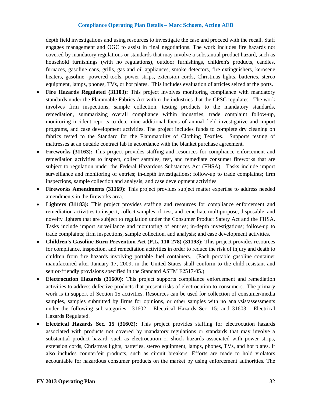depth field investigations and using resources to investigate the case and proceed with the recall. Staff engages management and OGC to assist in final negotiations. The work includes fire hazards not covered by mandatory regulations or standards that may involve a substantial product hazard, such as household furnishings (with no regulations), outdoor furnishings, children's products, candles, furnaces, gasoline cans, grills, gas and oil appliances, smoke detectors, fire extinguishers, kerosene heaters, gasoline -powered tools, power strips, extension cords, Christmas lights, batteries, stereo equipment, lamps, phones, TVs, or hot plates. This includes evaluation of articles seized at the ports.

- **Fire Hazards Regulated (31103):** This project involves monitoring compliance with mandatory standards under the Flammable Fabrics Act within the industries that the CPSC regulates. The work involves firm inspections, sample collection, testing products to the mandatory standards, remediation, summarizing overall compliance within industries, trade complaint follow-up, monitoring incident reports to determine additional focus of annual field investigative and import programs, and case development activities. The project includes funds to complete dry cleaning on fabrics tested to the Standard for the Flammability of Clothing Textiles. Supports testing of mattresses at an outside contract lab in accordance with the blanket purchase agreement.
- **Fireworks (31163):** This project provides staffing and resources for compliance enforcement and remediation activities to inspect, collect samples, test, and remediate consumer fireworks that are subject to regulation under the Federal Hazardous Substances Act (FHSA). Tasks include import surveillance and monitoring of entries; in-depth investigations; follow-up to trade complaints; firm inspections, sample collection and analysis; and case development activities.
- **Fireworks Amendments (31169):** This project provides subject matter expertise to address needed amendments in the fireworks area.
- Lighters (31183): This project provides staffing and resources for compliance enforcement and remediation activities to inspect, collect samples of, test, and remediate multipurpose, disposable, and novelty lighters that are subject to regulation under the Consumer Product Safety Act and the FHSA. Tasks include import surveillance and monitoring of entries; in-depth investigations; follow-up to trade complaints; firm inspections, sample collection, and analysis; and case development activities.
- **Children's Gasoline Burn Prevention Act (P.L. 110-278) (31193):** This project provides resources for compliance, inspection, and remediation activities in order to reduce the risk of injury and death to children from fire hazards involving portable fuel containers. (Each portable gasoline container manufactured after January 17, 2009, in the United States shall conform to the child-resistant and senior-friendly provisions specified in the Standard ASTM F2517-05.)
- **Electrocution Hazards (31600):** This project supports compliance enforcement and remediation activities to address defective products that present risks of electrocution to consumers. The primary work is in support of Section 15 activities. Resources can be used for collection of consumer/media samples, samples submitted by firms for opinions, or other samples with no analysis/assessments under the following subcategories: 31602 - Electrical Hazards Sec. 15; and 31603 - Electrical Hazards Regulated.
- **Electrical Hazards Sec. 15 (31602):** This project provides staffing for electrocution hazards associated with products not covered by mandatory regulations or standards that may involve a substantial product hazard, such as electrocution or shock hazards associated with power strips, extension cords, Christmas lights, batteries, stereo equipment, lamps, phones, TVs, and hot plates. It also includes counterfeit products, such as circuit breakers. Efforts are made to hold violators accountable for hazardous consumer products on the market by using enforcement authorities. The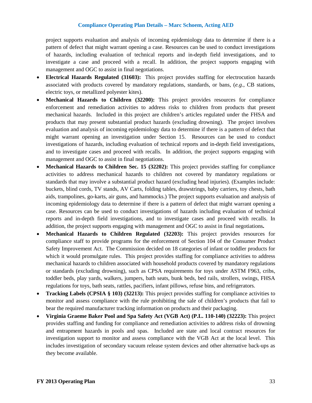project supports evaluation and analysis of incoming epidemiology data to determine if there is a pattern of defect that might warrant opening a case. Resources can be used to conduct investigations of hazards, including evaluation of technical reports and in-depth field investigations, and to investigate a case and proceed with a recall. In addition, the project supports engaging with management and OGC to assist in final negotiations.

- **Electrical Hazards Regulated (31603):** This project provides staffing for electrocution hazards associated with products covered by mandatory regulations, standards, or bans, (*e.g*., CB stations, electric toys, or metallized polyester kites).
- **Mechanical Hazards to Children (32200):** This project provides resources for compliance enforcement and remediation activities to address risks to children from products that present mechanical hazards. Included in this project are children's articles regulated under the FHSA and products that may present substantial product hazards (excluding drowning). The project involves evaluation and analysis of incoming epidemiology data to determine if there is a pattern of defect that might warrant opening an investigation under Section 15. Resources can be used to conduct investigations of hazards, including evaluation of technical reports and in-depth field investigations, and to investigate cases and proceed with recalls. In addition, the project supports engaging with management and OGC to assist in final negotiations.
- **Mechanical Hazards to Children Sec. 15 (32202):** This project provides staffing for compliance activities to address mechanical hazards to children not covered by mandatory regulations or standards that may involve a substantial product hazard (excluding head injuries). (Examples include: buckets, blind cords, TV stands, AV Carts, folding tables, drawstrings, baby carriers, toy chests, bath aids, trampolines, go-karts, air guns, and hammocks.) The project supports evaluation and analysis of incoming epidemiology data to determine if there is a pattern of defect that might warrant opening a case. Resources can be used to conduct investigations of hazards including evaluation of technical reports and in-depth field investigations, and to investigate cases and proceed with recalls. In addition, the project supports engaging with management and OGC to assist in final negotiations**.**
- **Mechanical Hazards to Children Regulated (32203):** This project provides resources for compliance staff to provide programs for the enforcement of Section 104 of the Consumer Product Safety Improvement Act. The Commission decided on 18 categories of infant or toddler products for which it would promulgate rules. This project provides staffing for compliance activities to address mechanical hazards to children associated with household products covered by mandatory regulations or standards (excluding drowning), such as CPSA requirements for toys under ASTM F963, cribs, toddler beds, play yards, walkers, jumpers, bath seats, bunk beds, bed rails, strollers, swings, FHSA regulations for toys, bath seats, rattles, pacifiers, infant pillows, refuse bins, and refrigerators.
- **Tracking Labels (CPSIA § 103) (32213):** This project provides staffing for compliance activities to monitor and assess compliance with the rule prohibiting the sale of children's products that fail to bear the required manufacturer tracking information on products and their packaging.
- **Virginia Graeme Baker Pool and Spa Safety Act (VGB Act) (P.L. 110-140) (32223):** This project provides staffing and funding for compliance and remediation activities to address risks of drowning and entrapment hazards in pools and spas. Included are state and local contract resources for investigation support to monitor and assess compliance with the VGB Act at the local level. This includes investigation of secondary vacuum release system devices and other alternative back-ups as they become available.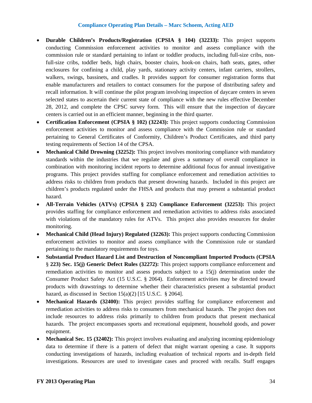- **Durable Children's Products/Registration (CPSIA § 104) (32233):** This project supports conducting Commission enforcement activities to monitor and assess compliance with the commission rule or standard pertaining to infant or toddler products, including full-size cribs, nonfull-size cribs, toddler beds, high chairs, booster chairs, hook-on chairs, bath seats, gates, other enclosures for confining a child, play yards, stationary activity centers, infant carriers, strollers, walkers, swings, bassinets, and cradles. It provides support for consumer registration forms that enable manufacturers and retailers to contact consumers for the purpose of distributing safety and recall information. It will continue the pilot program involving inspection of daycare centers in seven selected states to ascertain their current state of compliance with the new rules effective December 28, 2012, and complete the CPSC survey form. This will ensure that the inspection of daycare centers is carried out in an efficient manner, beginning in the third quarter.
- **Certification Enforcement (CPSIA § 102) (32243):** This project supports conducting Commission enforcement activities to monitor and assess compliance with the Commission rule or standard pertaining to General Certificates of Conformity, Children's Product Certificates, and third party testing requirements of Section 14 of the CPSA.
- **Mechanical Child Drowning (32252):** This project involves monitoring compliance with mandatory standards within the industries that we regulate and gives a summary of overall compliance in combination with monitoring incident reports to determine additional focus for annual investigative programs. This project provides staffing for compliance enforcement and remediation activities to address risks to children from products that present drowning hazards. Included in this project are children's products regulated under the FHSA and products that may present a substantial product hazard.
- **All-Terrain Vehicles (ATVs) (CPSIA § 232) Compliance Enforcement (32253):** This project provides staffing for compliance enforcement and remediation activities to address risks associated with violations of the mandatory rules for ATVs. This project also provides resources for dealer monitoring.
- **Mechanical Child (Head Injury) Regulated (32263):** This project supports conducting Commission enforcement activities to monitor and assess compliance with the Commission rule or standard pertaining to the mandatory requirements for toys.
- **Substantial Product Hazard List and Destruction of Noncompliant Imported Products (CPSIA**  § **223) Sec. 15(j) Generic Defect Rules (32272):** This project supports compliance enforcement and remediation activities to monitor and assess products subject to a 15(j) determination under the Consumer Product Safety Act (15 U.S.C. § 2064). Enforcement activities may be directed toward products with drawstrings to determine whether their characteristics present a substantial product hazard, as discussed in Section  $15(a)(2)$  [15 U.S.C. § 2064].
- **Mechanical Hazards (32400):** This project provides staffing for compliance enforcement and remediation activities to address risks to consumers from mechanical hazards. The project does not include resources to address risks primarily to children from products that present mechanical hazards. The project encompasses sports and recreational equipment, household goods, and power equipment.
- <span id="page-35-0"></span>• **Mechanical Sec. 15 (32402):** This project involves evaluating and analyzing incoming epidemiology data to determine if there is a pattern of defect that might warrant opening a case. It supports conducting investigations of hazards, including evaluation of technical reports and in-depth field investigations. Resources are used to investigate cases and proceed with recalls. Staff engages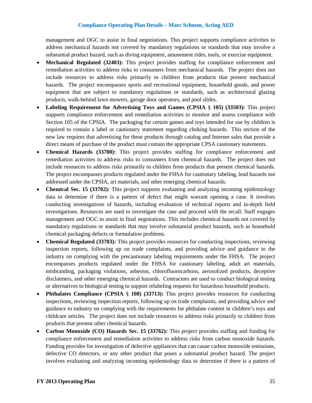management and OGC to assist in final negotiations. This project supports compliance activities to address mechanical hazards not covered by mandatory regulations or standards that may involve a substantial product hazard, such as diving equipment, amusement rides, tools, or exercise equipment.

- **Mechanical Regulated (32403):** This project provides staffing for compliance enforcement and remediation activities to address risks to consumers from mechanical hazards. The project does not include resources to address risks primarily to children from products that present mechanical hazards. The project encompasses sports and recreational equipment, household goods, and power equipment that are subject to mandatory regulations or standards, such as architectural glazing products, walk-behind lawn mowers, garage door operators, and pool slides.
- **Labeling Requirement for Advertising Toys and Games (CPSIA** § **105) (33503):** This project supports compliance enforcement and remediation activities to monitor and assess compliance with Section 105 of the CPSIA. The packaging for certain games and toys intended for use by children is required to contain a label or cautionary statement regarding choking hazards. This section of the new law requires that advertising for these products through catalog and Internet sales that provide a direct means of purchase of the product must contain the appropriate CPSA cautionary statements.
- **Chemical Hazards (33700):** This project provides staffing for compliance enforcement and remediation activities to address risks to consumers from chemical hazards. The project does not include resources to address risks primarily to children from products that present chemical hazards. The project encompasses products regulated under the FHSA for cautionary labeling, lead hazards not addressed under the CPSIA, art materials, and other emerging chemical hazards.
- **Chemical Sec. 15 (33702):** This project supports evaluating and analyzing incoming epidemiology data to determine if there is a pattern of defect that might warrant opening a case. It involves conducting investigations of hazards, including evaluation of technical reports and in-depth field investigations. Resources are used to investigate the case and proceed with the recall. Staff engages management and OGC to assist in final negotiations. This includes chemical hazards not covered by mandatory regulations or standards that may involve substantial product hazards, such as household chemical packaging defects or formulation problems.
- **Chemical Regulated (33703):** This project provides resources for conducting inspections, reviewing inspection reports, following up on trade complaints, and providing advice and guidance to the industry on complying with the precautionary labeling requirements under the FHSA. The project encompasses products regulated under the FHSA for cautionary labeling, adult art materials, misbranding, packaging violations, asbestos, chlorofluorocarbons, aerosolized products, deceptive disclaimers, and other emerging chemical hazards. Contractors are used to conduct biological testing or alternatives to biological testing to support relabeling requests for hazardous household products.
- **Phthalates Compliance (CPSIA § 108) (33713):** This project provides resources for conducting inspections, reviewing inspection reports, following up on trade complaints, and providing advice and guidance to industry on complying with the requirements for phthalate content in children's toys and childcare articles. The project does not include resources to address risks primarily to children from products that present other chemical hazards.
- **Carbon Monoxide (CO) Hazards Sec. 15 (33762):** This project provides staffing and funding for compliance enforcement and remediation activities to address risks from carbon monoxide hazards. Funding provides for investigation of defective appliances that can cause carbon monoxide emissions, defective CO detectors, or any other product that poses a substantial product hazard. The project involves evaluating and analyzing incoming epidemiology data to determine if there is a pattern of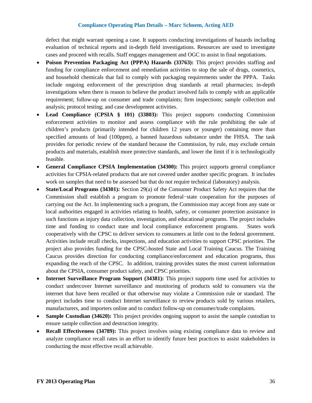defect that might warrant opening a case. It supports conducting investigations of hazards including evaluation of technical reports and in-depth field investigations. Resources are used to investigate cases and proceed with recalls. Staff engages management and OGC to assist in final negotiations.

- **Poison Prevention Packaging Act (PPPA) Hazards (33763):** This project provides staffing and funding for compliance enforcement and remediation activities to stop the sale of drugs, cosmetics, and household chemicals that fail to comply with packaging requirements under the PPPA. Tasks include ongoing enforcement of the prescription drug standards at retail pharmacies; in-depth investigations when there is reason to believe the product involved fails to comply with an applicable requirement; follow-up on consumer and trade complaints; firm inspections; sample collection and analysis; protocol testing; and case development activities.
- **Lead Compliance (CPSIA § 101) (33803):** This project supports conducting Commission enforcement activities to monitor and assess compliance with the rule prohibiting the sale of children's products (primarily intended for children 12 years or younger) containing more than specified amounts of lead (100ppm), a banned hazardous substance under the FHSA. The task provides for periodic review of the standard because the Commission, by rule, may exclude certain products and materials, establish more protective standards, and lower the limit if it is technologically feasible.
- **General Compliance CPSIA Implementation (34300):** This project supports general compliance activities for CPSIA-related products that are not covered under another specific program. It includes work on samples that need to be assessed but that do not require technical (laboratory) analysis.
- **State/Local Programs (34301):** Section 29(a) of the Consumer Product Safety Act requires that the Commission shall establish a program to promote federal−state cooperation for the purposes of carrying out the Act. In implementing such a program, the Commission may accept from any state or local authorities engaged in activities relating to health, safety, or consumer protection assistance in such functions as injury data collection, investigation, and educational programs. The project includes time and funding to conduct state and local compliance enforcement programs. States work cooperatively with the CPSC to deliver services to consumers at little cost to the federal government. Activities include recall checks, inspections, and education activities to support CPSC priorities. The project also provides funding for the CPSC-hosted State and Local Training Caucus. The Training Caucus provides direction for conducting compliance/enforcement and education programs, thus expanding the reach of the CPSC. In addition, training provides states the most current information about the CPSIA, consumer product safety, and CPSC priorities.
- **Internet Surveillance Program Support (34381):** This project supports time used for activities to conduct undercover Internet surveillance and monitoring of products sold to consumers via the internet that have been recalled or that otherwise may violate a Commission rule or standard. The project includes time to conduct Internet surveillance to review products sold by various retailers, manufacturers, and importers online and to conduct follow-up on consumer/trade complaints.
- **Sample Custodian (34620):** This project provides ongoing support to assist the sample custodian to ensure sample collection and destruction integrity.
- **Recall Effectiveness (34789):** This project involves using existing compliance data to review and analyze compliance recall rates in an effort to identify future best practices to assist stakeholders in conducting the most effective recall achievable.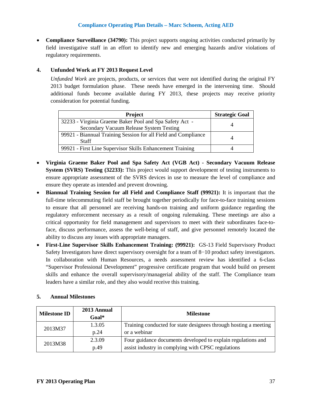• **Compliance Surveillance (34790):** This project supports ongoing activities conducted primarily by field investigative staff in an effort to identify new and emerging hazards and/or violations of regulatory requirements.

## **4. Unfunded Work at FY 2013 Request Level**

*Unfunded Work* are projects, products, or services that were not identified during the original FY 2013 budget formulation phase. These needs have emerged in the intervening time. Should additional funds become available during FY 2013, these projects may receive priority consideration for potential funding.

| <b>Project</b>                                                                 | <b>Strategic Goal</b> |
|--------------------------------------------------------------------------------|-----------------------|
| 32233 - Virginia Graeme Baker Pool and Spa Safety Act -                        | 4                     |
| Secondary Vacuum Release System Testing                                        |                       |
| 99921 - Biannual Training Session for all Field and Compliance<br><b>Staff</b> |                       |
|                                                                                |                       |
| 99921 - First Line Supervisor Skills Enhancement Training                      |                       |

- **Virginia Graeme Baker Pool and Spa Safety Act (VGB Act) - Secondary Vacuum Release System (SVRS) Testing (32233):** This project would support development of testing instruments to ensure appropriate assessment of the SVRS devices in use to measure the level of compliance and ensure they operate as intended and prevent drowning.
- **Biannual Training Session for all Field and Compliance Staff (99921):** It is important that the full-time telecommuting field staff be brought together periodically for face-to-face training sessions to ensure that all personnel are receiving hands-on training and uniform guidance regarding the regulatory enforcement necessary as a result of ongoing rulemaking. These meetings are also a critical opportunity for field management and supervisors to meet with their subordinates face-toface, discuss performance, assess the well-being of staff, and give personnel remotely located the ability to discuss any issues with appropriate managers.
- **First-Line Supervisor Skills Enhancement Training: (99921):** GS-13 Field Supervisory Product Safety Investigators have direct supervisory oversight for a team of 8−10 product safety investigators. In collaboration with Human Resources, a needs assessment review has identified a 6-class "Supervisor Professional Development" progressive certificate program that would build on present skills and enhance the overall supervisory/managerial ability of the staff. The Compliance team leaders have a similar role, and they also would receive this training.

| <b>Milestone ID</b> | 2013 Annual<br>$Goal*$ | <b>Milestone</b>                                                 |
|---------------------|------------------------|------------------------------------------------------------------|
| 2013M37             | 1.3.05                 | Training conducted for state designees through hosting a meeting |
|                     | p.24                   | or a webinar                                                     |
| 2013M38             | 2.3.09                 | Four guidance documents developed to explain regulations and     |
|                     | p.49                   | assist industry in complying with CPSC regulations               |

## **5. Annual Milestones**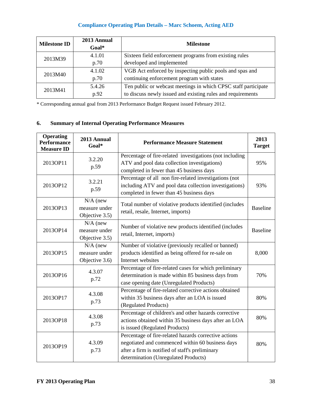| <b>Milestone ID</b> | 2013 Annual<br>Goal* | <b>Milestone</b>                                               |
|---------------------|----------------------|----------------------------------------------------------------|
| 2013M39             | 4.1.01               | Sixteen field enforcement programs from existing rules         |
|                     | p.70                 | developed and implemented                                      |
| 2013M40             | 4.1.02               | VGB Act enforced by inspecting public pools and spas and       |
|                     | p.70                 | continuing enforcement program with states                     |
| 2013M41             | 5.4.26               | Ten public or webcast meetings in which CPSC staff participate |
|                     | p.92                 | to discuss newly issued and existing rules and requirements    |

\* Corresponding annual goal from 2013 Performance Budget Request issued February 2012.

# **6. Summary of Internal Operating Performance Measures**

| <b>Operating</b><br><b>Performance</b><br><b>Measure ID</b> | 2013 Annual<br>Goal*                          | <b>Performance Measure Statement</b>                                                                                                                                                                 | 2013<br><b>Target</b> |
|-------------------------------------------------------------|-----------------------------------------------|------------------------------------------------------------------------------------------------------------------------------------------------------------------------------------------------------|-----------------------|
| 2013OP11                                                    | 3.2.20<br>p.59                                | Percentage of fire-related investigations (not including<br>ATV and pool data collection investigations)<br>completed in fewer than 45 business days                                                 | 95%                   |
| 2013OP12                                                    | 3.2.21<br>p.59                                | Percentage of all non fire-related investigations (not<br>including ATV and pool data collection investigations)<br>completed in fewer than 45 business days                                         | 93%                   |
| 2013OP13                                                    | $N/A$ (new<br>measure under<br>Objective 3.5) | Total number of violative products identified (includes<br>retail, resale, Internet, imports)                                                                                                        | <b>Baseline</b>       |
| 2013OP14                                                    | $N/A$ (new<br>measure under<br>Objective 3.5) | Number of violative new products identified (includes<br>retail, Internet, imports)                                                                                                                  | <b>Baseline</b>       |
| 2013OP15                                                    | $N/A$ (new<br>measure under<br>Objective 3.6) | Number of violative (previously recalled or banned)<br>products identified as being offered for re-sale on<br>Internet websites                                                                      | 8,000                 |
| 2013OP16                                                    | 4.3.07<br>p.72                                | Percentage of fire-related cases for which preliminary<br>determination is made within 85 business days from<br>case opening date (Unregulated Products)                                             | 70%                   |
| 2013OP17                                                    | 4.3.08<br>p.73                                | Percentage of fire-related corrective actions obtained<br>within 35 business days after an LOA is issued<br>(Regulated Products)                                                                     | 80%                   |
| 2013OP18                                                    | 4.3.08<br>p.73                                | Percentage of children's and other hazards corrective<br>actions obtained within 35 business days after an LOA<br>is issued (Regulated Products)                                                     | 80%                   |
| 2013OP19                                                    | 4.3.09<br>p.73                                | Percentage of fire-related hazards corrective actions<br>negotiated and commenced within 60 business days<br>after a firm is notified of staff's preliminary<br>determination (Unregulated Products) | 80%                   |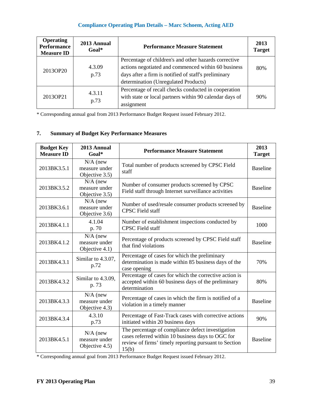| <b>Operating</b><br><b>Performance</b><br><b>Measure ID</b> | 2013 Annual<br>$Goal*$ | <b>Performance Measure Statement</b>                                                                                                                                                                         | 2013<br><b>Target</b> |
|-------------------------------------------------------------|------------------------|--------------------------------------------------------------------------------------------------------------------------------------------------------------------------------------------------------------|-----------------------|
| 2013OP20                                                    | 4.3.09<br>p.73         | Percentage of children's and other hazards corrective<br>actions negotiated and commenced within 60 business<br>days after a firm is notified of staff's preliminary<br>determination (Unregulated Products) | 80%                   |
| 2013OP21                                                    | 4.3.11<br>p.73         | Percentage of recall checks conducted in cooperation<br>with state or local partners within 90 calendar days of<br>assignment                                                                                | 90%                   |

\* Corresponding annual goal from 2013 Performance Budget Request issued February 2012.

# **7. Summary of Budget Key Performance Measures**

| <b>Budget Key</b><br><b>Measure ID</b> | 2013 Annual<br>$Goal*$                        | <b>Performance Measure Statement</b>                                                                                                                                     | 2013<br><b>Target</b> |
|----------------------------------------|-----------------------------------------------|--------------------------------------------------------------------------------------------------------------------------------------------------------------------------|-----------------------|
| 2013BK3.5.1                            | $N/A$ (new<br>measure under<br>Objective 3.5) | Total number of products screened by CPSC Field<br>staff                                                                                                                 | <b>Baseline</b>       |
| 2013BK3.5.2                            | $N/A$ (new<br>measure under<br>Objective 3.5) | Number of consumer products screened by CPSC<br>Field staff through Internet surveillance activities                                                                     | <b>Baseline</b>       |
| 2013BK3.6.1                            | $N/A$ (new<br>measure under<br>Objective 3.6) | Number of used/resale consumer products screened by<br><b>CPSC</b> Field staff                                                                                           | <b>Baseline</b>       |
| 2013BK4.1.1                            | 4.1.04<br>p. 70                               | Number of establishment inspections conducted by<br><b>CPSC</b> Field staff                                                                                              | 1000                  |
| 2013BK4.1.2                            | $N/A$ (new<br>measure under<br>Objective 4.1) | Percentage of products screened by CPSC Field staff<br>that find violations                                                                                              | <b>Baseline</b>       |
| 2013BK4.3.1                            | Similar to 4.3.07,<br>p.72                    | Percentage of cases for which the preliminary<br>determination is made within 85 business days of the<br>case opening                                                    | 70%                   |
| 2013BK4.3.2                            | Similar to 4.3.09,<br>p. 73                   | Percentage of cases for which the corrective action is<br>accepted within 60 business days of the preliminary<br>determination                                           | 80%                   |
| 2013BK4.3.3                            | $N/A$ (new<br>measure under<br>Objective 4.3) | Percentage of cases in which the firm is notified of a<br>violation in a timely manner                                                                                   | <b>Baseline</b>       |
| 2013BK4.3.4                            | 4.3.10<br>p.73                                | Percentage of Fast-Track cases with corrective actions<br>initiated within 20 business days                                                                              | 90%                   |
| 2013BK4.5.1                            | $N/A$ (new<br>measure under<br>Objective 4.5) | The percentage of compliance defect investigation<br>cases referred within 10 business days to OGC for<br>review of firms' timely reporting pursuant to Section<br>15(b) | <b>Baseline</b>       |

\* Corresponding annual goal from 2013 Performance Budget Request issued February 2012.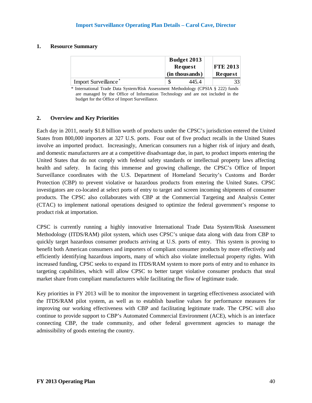#### **1. Resource Summary**

|                                  | <b>Budget 2013</b><br>Request |                | <b>FTE 2013</b> |
|----------------------------------|-------------------------------|----------------|-----------------|
|                                  |                               | (in thousands) | Request         |
| Import Surveillance <sup>®</sup> |                               | 445.4          |                 |

\* International Trade Data System/Risk Assessment Methodology (CPSIA § 222) funds are managed by the Office of Information Technology and are not included in the budget for the Office of Import Surveillance.

#### **2. Overview and Key Priorities**

Each day in 2011, nearly \$1.8 billion worth of products under the CPSC's jurisdiction entered the United States from 800,000 importers at 327 U.S. ports. Four out of five product recalls in the United States involve an imported product. Increasingly, American consumers run a higher risk of injury and death, and domestic manufacturers are at a competitive disadvantage due, in part, to product imports entering the United States that do not comply with federal safety standards or intellectual property laws affecting health and safety. In facing this immense and growing challenge, the CPSC's Office of Import Surveillance coordinates with the U.S. Department of Homeland Security's Customs and Border Protection (CBP) to prevent violative or hazardous products from entering the United States. CPSC investigators are co-located at select ports of entry to target and screen incoming shipments of consumer products. The CPSC also collaborates with CBP at the Commercial Targeting and Analysis Center (CTAC) to implement national operations designed to optimize the federal government's response to product risk at importation.

CPSC is currently running a highly innovative International Trade Data System/Risk Assessment Methodology (ITDS/RAM) pilot system, which uses CPSC's unique data along with data from CBP to quickly target hazardous consumer products arriving at U.S. ports of entry. This system is proving to benefit both American consumers and importers of compliant consumer products by more effectively and efficiently identifying hazardous imports, many of which also violate intellectual property rights. With increased funding, CPSC seeks to expand its ITDS/RAM system to more ports of entry and to enhance its targeting capabilities, which will allow CPSC to better target violative consumer products that steal market share from compliant manufacturers while facilitating the flow of legitimate trade.

Key priorities in FY 2013 will be to monitor the improvement in targeting effectiveness associated with the ITDS/RAM pilot system, as well as to establish baseline values for performance measures for improving our working effectiveness with CBP and facilitating legitimate trade. The CPSC will also continue to provide support to CBP's Automated Commercial Environment (ACE), which is an interface connecting CBP, the trade community, and other federal government agencies to manage the admissibility of goods entering the country.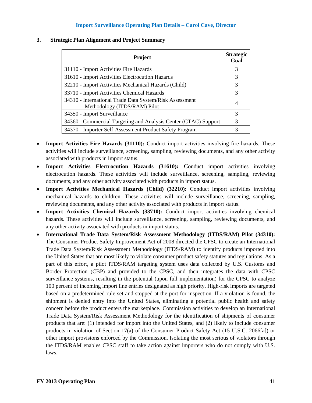#### **Import Surveillance Operating Plan Details – Carol Cave, Director**

| <b>Project</b>                                                                          | <b>Strategic</b><br>Goal |
|-----------------------------------------------------------------------------------------|--------------------------|
| 31110 - Import Activities Fire Hazards                                                  | 3                        |
| 31610 - Import Activities Electrocution Hazards                                         | 3                        |
| 32210 - Import Activities Mechanical Hazards (Child)                                    | 3                        |
| 33710 - Import Activities Chemical Hazards                                              | 3                        |
| 34310 - International Trade Data System/Risk Assessment<br>Methodology (ITDS/RAM) Pilot | 4                        |
| 34350 - Import Surveillance                                                             | 3                        |
| 34360 - Commercial Targeting and Analysis Center (CTAC) Support                         | 3                        |
| 34370 - Importer Self-Assessment Product Safety Program                                 | 3                        |

#### **3. Strategic Plan Alignment and Project Summary**

- **Import Activities Fire Hazards (31110):** Conduct import activities involving fire hazards. These activities will include surveillance, screening, sampling, reviewing documents, and any other activity associated with products in import status.
- **Import Activities Electrocution Hazards (31610):** Conduct import activities involving electrocution hazards. These activities will include surveillance, screening, sampling, reviewing documents, and any other activity associated with products in import status.
- **Import Activities Mechanical Hazards (Child) (32210):** Conduct import activities involving mechanical hazards to children. These activities will include surveillance, screening, sampling, reviewing documents, and any other activity associated with products in import status.
- **Import Activities Chemical Hazards (33710):** Conduct import activities involving chemical hazards. These activities will include surveillance, screening, sampling, reviewing documents, and any other activity associated with products in import status.
- **International Trade Data System/Risk Assessment Methodology (ITDS/RAM) Pilot (34310):**  The Consumer Product Safety Improvement Act of 2008 directed the CPSC to create an International Trade Data System/Risk Assessment Methodology (ITDS/RAM) to identify products imported into the United States that are most likely to violate consumer product safety statutes and regulations. As a part of this effort, a pilot ITDS/RAM targeting system uses data collected by U.S. Customs and Border Protection (CBP) and provided to the CPSC, and then integrates the data with CPSC surveillance systems, resulting in the potential (upon full implementation) for the CPSC to analyze 100 percent of incoming import line entries designated as high priority. High-risk imports are targeted based on a predetermined rule set and stopped at the port for inspection. If a violation is found, the shipment is denied entry into the United States, eliminating a potential public health and safety concern before the product enters the marketplace. Commission activities to develop an International Trade Data System/Risk Assessment Methodology for the identification of shipments of consumer products that are: (1) intended for import into the United States, and (2) likely to include consumer products in violation of Section 17(a) of the Consumer Product Safety Act (15 U.S.C. 2066[a]) or other import provisions enforced by the Commission. Isolating the most serious of violators through the ITDS/RAM enables CPSC staff to take action against importers who do not comply with U.S. laws.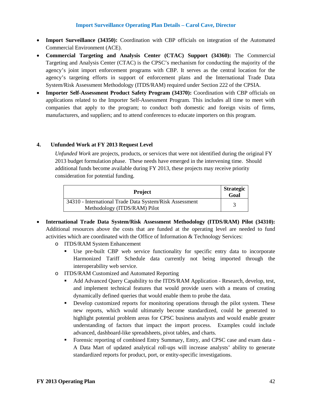#### **Import Surveillance Operating Plan Details – Carol Cave, Director**

- **Import Surveillance (34350):** Coordination with CBP officials on integration of the Automated Commercial Environment (ACE).
- **Commercial Targeting and Analysis Center (CTAC) Support (34360):** The Commercial Targeting and Analysis Center (CTAC) is the CPSC's mechanism for conducting the majority of the agency's joint import enforcement programs with CBP. It serves as the central location for the agency's targeting efforts in support of enforcement plans and the International Trade Data System/Risk Assessment Methodology (ITDS/RAM) required under Section 222 of the CPSIA.
- **Importer Self-Assessment Product Safety Program (34370):** Coordination with CBP officials on applications related to the Importer Self-Assessment Program. This includes all time to meet with companies that apply to the program; to conduct both domestic and foreign visits of firms, manufacturers, and suppliers; and to attend conferences to educate importers on this program.

#### **4. Unfunded Work at FY 2013 Request Level**

*Unfunded Work* are projects, products, or services that were not identified during the original FY 2013 budget formulation phase. These needs have emerged in the intervening time. Should additional funds become available during FY 2013, these projects may receive priority consideration for potential funding.

| <b>Project</b>                                                                          | <b>Strategic</b><br>Goal |
|-----------------------------------------------------------------------------------------|--------------------------|
| 34310 - International Trade Data System/Risk Assessment<br>Methodology (ITDS/RAM) Pilot |                          |

- **International Trade Data System/Risk Assessment Methodology (ITDS/RAM) Pilot (34310):**  Additional resources above the costs that are funded at the operating level are needed to fund activities which are coordinated with the Office of Information & Technology Services:
	- o ITDS/RAM System Enhancement
		- Use pre-built CBP web service functionality for specific entry data to incorporate Harmonized Tariff Schedule data currently not being imported through the interoperability web service.
	- o ITDS/RAM Customized and Automated Reporting
		- Add Advanced Query Capability to the ITDS/RAM Application Research, develop, test, and implement technical features that would provide users with a means of creating dynamically defined queries that would enable them to probe the data.
		- **Performance 1** Develop customized reports for monitoring operations through the pilot system. These new reports, which would ultimately become standardized, could be generated to highlight potential problem areas for CPSC business analysts and would enable greater understanding of factors that impact the import process. Examples could include advanced, dashboard-like spreadsheets, pivot tables, and charts.
		- Forensic reporting of combined Entry Summary, Entry, and CPSC case and exam data A Data Mart of updated analytical roll-ups will increase analysts' ability to generate standardized reports for product, port, or entity-specific investigations.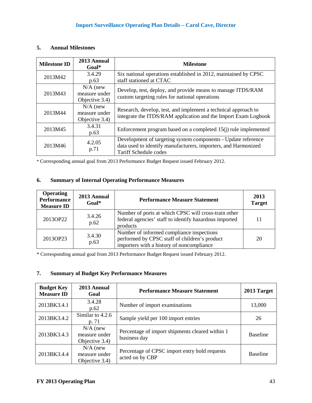## **5. Annual Milestones**

| <b>Milestone ID</b> | 2013 Annual<br>$Goal*$                        | <b>Milestone</b>                                                                                                                                         |
|---------------------|-----------------------------------------------|----------------------------------------------------------------------------------------------------------------------------------------------------------|
| 2013M42             | 3.4.29<br>p.63                                | Six national operations established in 2012, maintained by CPSC<br>staff stationed at CTAC                                                               |
| 2013M43             | $N/A$ (new<br>measure under<br>Objective 3.4) | Develop, test, deploy, and provide means to manage ITDS/RAM<br>custom targeting rules for national operations                                            |
| 2013M44             | $N/A$ (new<br>measure under<br>Objective 3.4) | Research, develop, test, and implement a technical approach to<br>integrate the ITDS/RAM application and the Import Exam Logbook                         |
| 2013M45             | 3.4.31<br>p.63                                | Enforcement program based on a completed $15(i)$ rule implemented                                                                                        |
| 2013M46             | 4.2.05<br>p.71                                | Development of targeting system components - Update reference<br>data used to identify manufacturers, importers, and Harmonized<br>Tariff Schedule codes |

\* Corresponding annual goal from 2013 Performance Budget Request issued February 2012.

# **6. Summary of Internal Operating Performance Measures**

| <b>Operating</b><br><b>Performance</b><br><b>Measure ID</b> | 2013 Annual<br>$Goal*$ | <b>Performance Measure Statement</b>                                                                                                    | 2013<br><b>Target</b> |
|-------------------------------------------------------------|------------------------|-----------------------------------------------------------------------------------------------------------------------------------------|-----------------------|
| 2013OP22                                                    | 3.4.26<br>p.62         | Number of ports at which CPSC will cross-train other<br>federal agencies' staff to identify hazardous imported<br>products              | 11                    |
| 2013OP23                                                    | 3.4.30<br>p.63         | Number of informed compliance inspections<br>performed by CPSC staff of children's product<br>importers with a history of noncompliance | 20                    |

\* Corresponding annual goal from 2013 Performance Budget Request issued February 2012.

# **7. Summary of Budget Key Performance Measures**

| <b>Budget Key</b><br><b>Measure ID</b> | 2013 Annual<br>Goal                           | <b>Performance Measure Statement</b>                             | 2013 Target     |
|----------------------------------------|-----------------------------------------------|------------------------------------------------------------------|-----------------|
| 2013BK3.4.1                            | 3.4.28<br>p.62                                | Number of import examinations                                    | 13,000          |
| 2013BK3.4.2                            | Similar to 4.2.6<br>p. 71                     | Sample yield per 100 import entries                              | 26              |
| 2013BK3.4.3                            | $N/A$ (new<br>measure under<br>Objective 3.4) | Percentage of import shipments cleared within 1<br>business day  | <b>Baseline</b> |
| 2013BK3.4.4                            | $N/A$ (new<br>measure under<br>Objective 3.4) | Percentage of CPSC import entry hold requests<br>acted on by CBP | <b>Baseline</b> |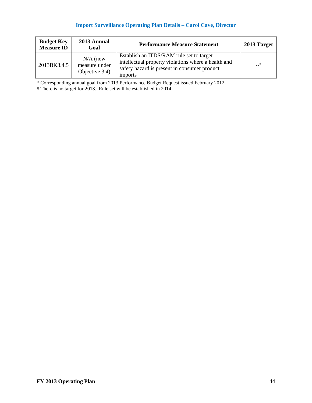# **Import Surveillance Operating Plan Details – Carol Cave, Director**

| <b>Budget Key</b><br><b>Measure ID</b> | 2013 Annual<br>Goal                           | <b>Performance Measure Statement</b>                                                                                                                       | 2013 Target |
|----------------------------------------|-----------------------------------------------|------------------------------------------------------------------------------------------------------------------------------------------------------------|-------------|
| 2013BK3.4.5                            | $N/A$ (new<br>measure under<br>Objective 3.4) | Establish an ITDS/RAM rule set to target<br>intellectual property violations where a health and<br>safety hazard is present in consumer product<br>imports | #           |

\* Corresponding annual goal from 2013 Performance Budget Request issued February 2012.

# There is no target for 2013. Rule set will be established in 2014.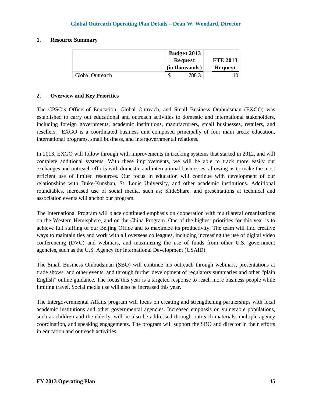#### **1. Resource Summary**

|                 | <b>Budget 2013</b><br>Request |                | <b>FTE 2013</b> |
|-----------------|-------------------------------|----------------|-----------------|
|                 |                               | (in thousands) | Request         |
| Global Outreach |                               | 788.3          |                 |

#### **2. Overview and Key Priorities**

The CPSC's Office of Education, Global Outreach, and Small Business Ombudsman (EXGO) was established to carry out educational and outreach activities to domestic and international stakeholders, including foreign governments, academic institutions, manufacturers, small businesses, retailers, and resellers. EXGO is a coordinated business unit composed principally of four main areas: education, international programs, small business, and intergovernmental relations.

In 2013, EXGO will follow through with improvements in tracking systems that started in 2012, and will complete additional systems. With these improvements, we will be able to track more easily our exchanges and outreach efforts with domestic and international businesses, allowing us to make the most efficient use of limited resources. Our focus in education will continue with development of our relationships with Duke-Kunshan, St. Louis University, and other academic institutions. Additional roundtables, increased use of social media, such as: SlideShare, and presentations at technical and association events will anchor our program.

The International Program will place continued emphasis on cooperation with multilateral organizations on the Western Hemisphere, and on the China Program. One of the highest priorities for this year is to achieve full staffing of our Beijing Office and to maximize its productivity. The team will find creative ways to maintain ties and work with all overseas colleagues, including increasing the use of digital video conferencing (DVC) and webinars, and maximizing the use of funds from other U.S. government agencies, such as the U.S. Agency for International Development (USAID).

The Small Business Ombudsman (SBO) will continue his outreach through webinars, presentations at trade shows, and other events, and through further development of regulatory summaries and other "plain English" online guidance. The focus this year is a targeted response to reach more business people while limiting travel. Social media use will also be increased this year.

The Intergovernmental Affairs program will focus on creating and strengthening partnerships with local academic institutions and other governmental agencies. Increased emphasis on vulnerable populations, such as children and the elderly, will be also be addressed through outreach materials, multiple-agency coordination, and speaking engagements. The program will support the SBO and director in their efforts in education and outreach activities.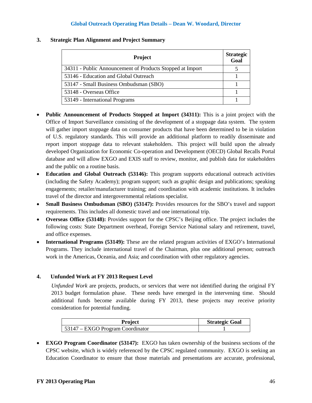| <b>Project</b>                                            | <b>Strategic</b><br>Goal |
|-----------------------------------------------------------|--------------------------|
| 34311 - Public Announcement of Products Stopped at Import |                          |
| 53146 - Education and Global Outreach                     |                          |
| 53147 - Small Business Ombudsman (SBO)                    |                          |
| 53148 - Overseas Office                                   |                          |
| 53149 - International Programs                            |                          |

#### **3. Strategic Plan Alignment and Project Summary**

- **Public Announcement of Products Stopped at Import (34311):** This is a joint project with the Office of Import Surveillance consisting of the development of a stoppage data system. The system will gather import stoppage data on consumer products that have been determined to be in violation of U.S. regulatory standards. This will provide an additional platform to readily disseminate and report import stoppage data to relevant stakeholders. This project will build upon the already developed Organization for Economic Co-operation and Development (OECD) Global Recalls Portal database and will allow EXGO and EXIS staff to review, monitor, and publish data for stakeholders and the public on a routine basis.
- **Education and Global Outreach (53146):** This program supports educational outreach activities (including the Safety Academy); program support; such as graphic design and publications; speaking engagements; retailer/manufacturer training; and coordination with academic institutions. It includes travel of the director and intergovernmental relations specialist.
- **Small Business Ombudsman (SBO) (53147):** Provides resources for the SBO's travel and support requirements. This includes all domestic travel and one international trip.
- **Overseas Office (53148):** Provides support for the CPSC's Beijing office. The project includes the following costs: State Department overhead, Foreign Service National salary and retirement, travel, and office expenses.
- **International Programs (53149):** These are the related program activities of EXGO's International Programs. They include international travel of the Chairman, plus one additional person; outreach work in the Americas, Oceania, and Asia; and coordination with other regulatory agencies.

## **4. Unfunded Work at FY 2013 Request Level**

*Unfunded Work* are projects, products, or services that were not identified during the original FY 2013 budget formulation phase. These needs have emerged in the intervening time. Should additional funds become available during FY 2013, these projects may receive priority consideration for potential funding.

| <b>Project</b>                           | <b>Strategic Goal</b> |
|------------------------------------------|-----------------------|
| $\vert$ 53147 – EXGO Program Coordinator |                       |

• **EXGO Program Coordinator (53147):** EXGO has taken ownership of the business sections of the CPSC website, which is widely referenced by the CPSC regulated community. EXGO is seeking an Education Coordinator to ensure that those materials and presentations are accurate, professional,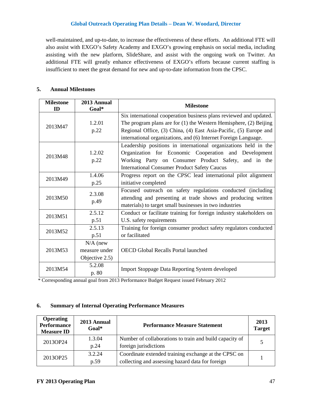well-maintained, and up-to-date, to increase the effectiveness of these efforts. An additional FTE will also assist with EXGO's Safety Academy and EXGO's growing emphasis on social media, including assisting with the new platform, SlideShare, and assist with the ongoing work on Twitter. An additional FTE will greatly enhance effectiveness of EXGO's efforts because current staffing is insufficient to meet the great demand for new and up-to-date information from the CPSC.

#### **5. Annual Milestones**

| <b>Milestone</b><br>ID | 2013 Annual<br>Goal*                          | <b>Milestone</b>                                                                                                                                                                                                                                                                    |
|------------------------|-----------------------------------------------|-------------------------------------------------------------------------------------------------------------------------------------------------------------------------------------------------------------------------------------------------------------------------------------|
| 2013M47                | 1.2.01<br>p.22                                | Six international cooperation business plans reviewed and updated.<br>The program plans are for $(1)$ the Western Hemisphere, $(2)$ Beijing<br>Regional Office, (3) China, (4) East Asia-Pacific, (5) Europe and<br>international organizations, and (6) Internet Foreign Language. |
| 2013M48                | 1.2.02<br>p.22                                | Leadership positions in international organizations held in the<br>Organization for Economic Cooperation and Development<br>Working Party on Consumer Product Safety, and in the<br><b>International Consumer Product Safety Caucus</b>                                             |
| 2013M49                | 1.4.06<br>p.25                                | Progress report on the CPSC lead international pilot alignment<br>initiative completed                                                                                                                                                                                              |
| 2013M50                | 2.3.08<br>p.49                                | Focused outreach on safety regulations conducted (including<br>attending and presenting at trade shows and producing written<br>materials) to target small businesses in two industries                                                                                             |
| 2013M51                | 2.5.12<br>p.51                                | Conduct or facilitate training for foreign industry stakeholders on<br>U.S. safety requirements                                                                                                                                                                                     |
| 2013M52                | 2.5.13<br>p.51                                | Training for foreign consumer product safety regulators conducted<br>or facilitated                                                                                                                                                                                                 |
| 2013M53                | $N/A$ (new<br>measure under<br>Objective 2.5) | OECD Global Recalls Portal launched                                                                                                                                                                                                                                                 |
| 2013M54                | 5.2.08<br>p. 80                               | <b>Import Stoppage Data Reporting System developed</b>                                                                                                                                                                                                                              |

\* Corresponding annual goal from 2013 Performance Budget Request issued February 2012

#### **6. Summary of Internal Operating Performance Measures**

| <b>Operating</b><br><b>Performance</b><br><b>Measure ID</b> | 2013 Annual<br>$Goal*$        | <b>Performance Measure Statement</b>                    | 2013<br><b>Target</b> |  |
|-------------------------------------------------------------|-------------------------------|---------------------------------------------------------|-----------------------|--|
| 2013OP24                                                    | 1.3.04                        | Number of collaborations to train and build capacity of | 5                     |  |
|                                                             | foreign jurisdictions<br>p.24 |                                                         |                       |  |
| 2013OP25                                                    | 3.2.24                        | Coordinate extended training exchange at the CPSC on    |                       |  |
|                                                             | p.59                          | collecting and assessing hazard data for foreign        |                       |  |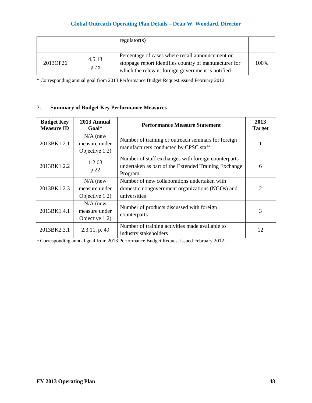|          |                | regular(s)                                                                                                                                                      |      |
|----------|----------------|-----------------------------------------------------------------------------------------------------------------------------------------------------------------|------|
| 2013OP26 | 4.5.13<br>p.75 | Percentage of cases where recall announcement or<br>stoppage report identifies country of manufacturer for<br>which the relevant foreign government is notified | 100% |

\* Corresponding annual goal from 2013 Performance Budget Request issued February 2012.

# **7. Summary of Budget Key Performance Measures**

| <b>Budget Key</b><br><b>Measure ID</b> | 2013 Annual<br>$Goal*$                        | <b>Performance Measure Statement</b>                                                                                   | 2013<br><b>Target</b> |
|----------------------------------------|-----------------------------------------------|------------------------------------------------------------------------------------------------------------------------|-----------------------|
| 2013BK1.2.1                            | $N/A$ (new<br>measure under<br>Objective 1.2) | Number of training or outreach seminars for foreign<br>manufacturers conducted by CPSC staff                           |                       |
| 2013BK1.2.2                            | 1.2.03<br>p.22                                | Number of staff exchanges with foreign counterparts<br>undertaken as part of the Extended Training Exchange<br>Program | 6                     |
| 2013BK1.2.3                            | $N/A$ (new<br>measure under<br>Objective 1.2) | Number of new collaborations undertaken with<br>domestic nongovernment organizations (NGOs) and<br>universities        | $\mathcal{D}_{\cdot}$ |
| 2013BK1.4.1                            | $N/A$ (new<br>measure under<br>Objective 1.2) | Number of products discussed with foreign<br>counterparts                                                              | 3                     |
| 2013BK2.3.1                            | $2.3.11$ , p. 49                              | Number of training activities made available to<br>industry stakeholders                                               | 12                    |

\* Corresponding annual goal from 2013 Performance Budget Request issued February 2012.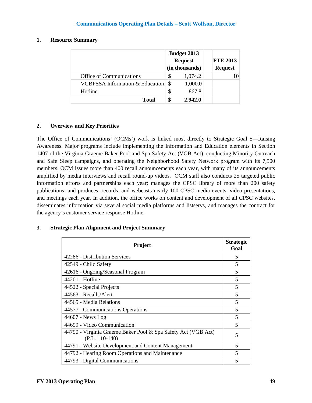#### **1. Resource Summary**

|                                            |    | <b>Budget 2013</b><br><b>Request</b><br>(in thousands) | <b>FTE 2013</b><br><b>Request</b> |
|--------------------------------------------|----|--------------------------------------------------------|-----------------------------------|
| Office of Communications                   | S  | 1,074.2                                                |                                   |
| <b>VGBPSSA Information &amp; Education</b> | S. | 1,000.0                                                |                                   |
| Hotline                                    |    | 867.8                                                  |                                   |
| <b>Total</b>                               |    | 2,942.0                                                |                                   |

#### **2. Overview and Key Priorities**

The Office of Communications' (OCMs') work is linked most directly to Strategic Goal 5—Raising Awareness. Major programs include implementing the Information and Education elements in Section 1407 of the Virginia Graeme Baker Pool and Spa Safety Act (VGB Act), conducting Minority Outreach and Safe Sleep campaigns, and operating the Neighborhood Safety Network program with its 7,500 members. OCM issues more than 400 recall announcements each year, with many of its announcements amplified by media interviews and recall round-up videos. OCM staff also conducts 25 targeted public information efforts and partnerships each year; manages the CPSC library of more than 200 safety publications; and produces, records, and webcasts nearly 100 CPSC media events, video presentations, and meetings each year. In addition, the office works on content and development of all CPSC websites, disseminates information via several social media platforms and listservs, and manages the contract for the agency's customer service response Hotline.

#### **3. Strategic Plan Alignment and Project Summary**

| Project                                                                           |   |  |
|-----------------------------------------------------------------------------------|---|--|
| 42286 - Distribution Services                                                     | 5 |  |
| 42549 - Child Safety                                                              | 5 |  |
| 42616 - Ongoing/Seasonal Program                                                  | 5 |  |
| 44201 - Hotline                                                                   | 5 |  |
| 44522 - Special Projects                                                          | 5 |  |
| 44563 - Recalls/Alert                                                             | 5 |  |
| 44565 - Media Relations                                                           | 5 |  |
| 44577 - Communications Operations                                                 | 5 |  |
| 44607 - News Log                                                                  | 5 |  |
| 44699 - Video Communication                                                       | 5 |  |
| 44790 - Virginia Graeme Baker Pool & Spa Safety Act (VGB Act)<br>$(P.L. 110-140)$ | 5 |  |
| 44791 - Website Development and Content Management                                | 5 |  |
| 44792 - Hearing Room Operations and Maintenance                                   | 5 |  |
| 44793 - Digital Communications                                                    | 5 |  |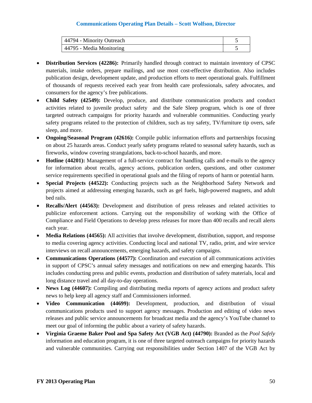| 44794 - Minority Outreach |  |
|---------------------------|--|
| 44795 - Media Monitoring  |  |

- **Distribution Services (42286):** Primarily handled through contract to maintain inventory of CPSC materials, intake orders, prepare mailings, and use most cost-effective distribution. Also includes publication design, development update, and production efforts to meet operational goals. Fulfillment of thousands of requests received each year from health care professionals, safety advocates, and consumers for the agency's free publications.
- **Child Safety (42549):** Develop, produce, and distribute communication products and conduct activities related to juvenile product safety and the Safe Sleep program, which is one of three targeted outreach campaigns for priority hazards and vulnerable communities. Conducting yearly safety programs related to the protection of children, such as toy safety, TV/furniture tip overs, safe sleep, and more.
- **Ongoing/Seasonal Program (42616):** Compile public information efforts and partnerships focusing on about 25 hazards areas. Conduct yearly safety programs related to seasonal safety hazards, such as fireworks, window covering strangulations, back-to-school hazards, and more.
- **Hotline (44201):** Management of a full-service contract for handling calls and e-mails to the agency for information about recalls, agency actions, publication orders, questions, and other customer service requirements specified in operational goals and the filing of reports of harm or potential harm.
- **Special Projects (44522):** Conducting projects such as the Neighborhood Safety Network and projects aimed at addressing emerging hazards, such as gel fuels, high-powered magnets, and adult bed rails.
- **Recalls/Alert (44563):** Development and distribution of press releases and related activities to publicize enforcement actions. Carrying out the responsibility of working with the Office of Compliance and Field Operations to develop press releases for more than 400 recalls and recall alerts each year.
- **Media Relations (44565):** All activities that involve development, distribution, support, and response to media covering agency activities. Conducting local and national TV, radio, print, and wire service interviews on recall announcements, emerging hazards, and safety campaigns.
- **Communications Operations (44577):** Coordination and execution of all communications activities in support of CPSC's annual safety messages and notifications on new and emerging hazards. This includes conducting press and public events, production and distribution of safety materials, local and long distance travel and all day-to-day operations.
- **News Log (44607):** Compiling and distributing media reports of agency actions and product safety news to help keep all agency staff and Commissioners informed.
- **Video Communication (44699):** Development, production, and distribution of visual communications products used to support agency messages. Production and editing of video news releases and public service announcements for broadcast media and the agency's YouTube channel to meet our goal of informing the public about a variety of safety hazards.
- **Virginia Graeme Baker Pool and Spa Safety Act (VGB Act) (44790):** Branded as the *Pool Safely* information and education program, it is one of three targeted outreach campaigns for priority hazards and vulnerable communities. Carrying out responsibilities under Section 1407 of the VGB Act by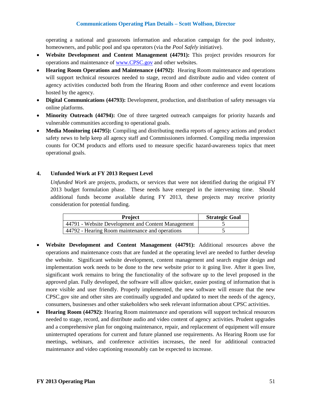operating a national and grassroots information and education campaign for the pool industry, homeowners, and public pool and spa operators (via the *Pool Safely* initiative).

- **Website Development and Content Management (44791):** This project provides resources for operations and maintenance of [www.CPSC.gov](http://www.cpsc.gov/) and other websites.
- **Hearing Room Operations and Maintenance (44792):** Hearing Room maintenance and operations will support technical resources needed to stage, record and distribute audio and video content of agency activities conducted both from the Hearing Room and other conference and event locations hosted by the agency.
- **Digital Communications (44793):** Development, production, and distribution of safety messages via online platforms.
- **Minority Outreach (44794):** One of three targeted outreach campaigns for priority hazards and vulnerable communities according to operational goals.
- **Media Monitoring (44795):** Compiling and distributing media reports of agency actions and product safety news to help keep all agency staff and Commissioners informed. Compiling media impression counts for OCM products and efforts used to measure specific hazard-awareness topics that meet operational goals.

#### **4. Unfunded Work at FY 2013 Request Level**

*Unfunded Work* are projects, products, or services that were not identified during the original FY 2013 budget formulation phase. These needs have emerged in the intervening time. Should additional funds become available during FY 2013, these projects may receive priority consideration for potential funding.

| <b>Project</b>                                     | <b>Strategic Goal</b> |
|----------------------------------------------------|-----------------------|
| 44791 - Website Development and Content Management |                       |
| 44792 - Hearing Room maintenance and operations    |                       |

- **Website Development and Content Management (44791):** Additional resources above the operations and maintenance costs that are funded at the operating level are needed to further develop the website. Significant website development, content management and search engine design and implementation work needs to be done to the new website prior to it going live. After it goes live, significant work remains to bring the functionality of the software up to the level proposed in the approved plan. Fully developed, the software will allow quicker, easier posting of information that is more visible and user friendly. Properly implemented, the new software will ensure that the new CPSC.gov site and other sites are continually upgraded and updated to meet the needs of the agency, consumers, businesses and other stakeholders who seek relevant information about CPSC activities.
- **Hearing Room (44792):** Hearing Room maintenance and operations will support technical resources needed to stage, record, and distribute audio and video content of agency activities. Prudent upgrades and a comprehensive plan for ongoing maintenance, repair, and replacement of equipment will ensure uninterrupted operations for current and future planned use requirements. As Hearing Room use for meetings, webinars, and conference activities increases, the need for additional contracted maintenance and video captioning reasonably can be expected to increase.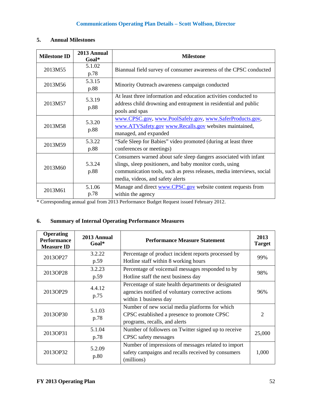# **5. Annual Milestones**

| <b>Milestone ID</b> | 2013 Annual<br>Goal* | <b>Milestone</b>                                                                                                                                                                                                                          |  |  |
|---------------------|----------------------|-------------------------------------------------------------------------------------------------------------------------------------------------------------------------------------------------------------------------------------------|--|--|
| 2013M55             | 5.1.02<br>p.78       | Biannual field survey of consumer awareness of the CPSC conducted                                                                                                                                                                         |  |  |
| 2013M56             | 5.3.15<br>p.88       | Minority Outreach awareness campaign conducted                                                                                                                                                                                            |  |  |
| 2013M57             | 5.3.19<br>p.88       | At least three information and education activities conducted to<br>address child drowning and entrapment in residential and public<br>pools and spas                                                                                     |  |  |
| 2013M58             | 5.3.20<br>p.88       | www.CPSC.gov, www.PoolSafely.gov, www.SaferProducts.gov,<br>www.ATVSafety.gov www.Recalls.gov websites maintained,<br>managed, and expanded                                                                                               |  |  |
| 2013M59             | 5.3.22<br>p.88       | "Safe Sleep for Babies" video promoted (during at least three<br>conferences or meetings)                                                                                                                                                 |  |  |
| 2013M60             | 5.3.24<br>p.88       | Consumers warned about safe sleep dangers associated with infant<br>slings, sleep positioners, and baby monitor cords, using<br>communication tools, such as press releases, media interviews, social<br>media, videos, and safety alerts |  |  |
| 2013M61             | 5.1.06<br>p.78       | Manage and direct www.CPSC.gov website content requests from<br>within the agency                                                                                                                                                         |  |  |

\* Corresponding annual goal from 2013 Performance Budget Request issued February 2012.

# **6. Summary of Internal Operating Performance Measures**

| <b>Operating</b><br><b>Performance</b><br><b>Measure ID</b> | 2013 Annual<br>$Goal*$                                                                                                                               | <b>Performance Measure Statement</b>                                                                                           | 2013<br><b>Target</b>       |
|-------------------------------------------------------------|------------------------------------------------------------------------------------------------------------------------------------------------------|--------------------------------------------------------------------------------------------------------------------------------|-----------------------------|
| 2013OP27                                                    | 3.2.22                                                                                                                                               | Percentage of product incident reports processed by                                                                            | 99%                         |
|                                                             | p.59                                                                                                                                                 | Hotline staff within 8 working hours                                                                                           |                             |
| 2013OP28                                                    | 3.2.23                                                                                                                                               | Percentage of voicemail messages responded to by                                                                               | 98%                         |
|                                                             | p.59                                                                                                                                                 | Hotline staff the next business day                                                                                            |                             |
| 2013OP29                                                    | Percentage of state health departments or designated<br>4.4.12<br>agencies notified of voluntary corrective actions<br>p.75<br>within 1 business day |                                                                                                                                | 96%                         |
| 2013OP30                                                    | 5.1.03<br>p.78                                                                                                                                       | Number of new social media platforms for which<br>CPSC established a presence to promote CPSC<br>programs, recalls, and alerts | $\mathcal{D}_{\mathcal{L}}$ |
| 2013OP31                                                    | 5.1.04<br>p.78                                                                                                                                       | Number of followers on Twitter signed up to receive<br>CPSC safety messages                                                    | 25,000                      |
| 2013OP32                                                    | 5.2.09<br>p.80                                                                                                                                       | Number of impressions of messages related to import<br>safety campaigns and recalls received by consumers<br>(millions)        | 1,000                       |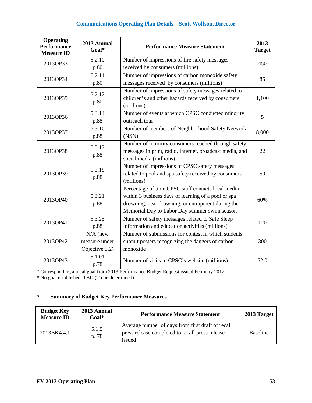| <b>Operating</b><br><b>Performance</b><br><b>Measure ID</b> | 2013 Annual<br>Goal*                                            | <b>Performance Measure Statement</b>                                                                  |       |
|-------------------------------------------------------------|-----------------------------------------------------------------|-------------------------------------------------------------------------------------------------------|-------|
| 2013OP33                                                    | 5.2.10                                                          | Number of impressions of fire safety messages                                                         | 450   |
|                                                             | p.80                                                            | received by consumers (millions)                                                                      |       |
| 2013OP34                                                    | $\overline{5.2.11}$                                             | Number of impressions of carbon monoxide safety                                                       | 85    |
|                                                             | p.80                                                            | messages received by consumers (millions)                                                             |       |
|                                                             | 5.2.12                                                          | Number of impressions of safety messages related to                                                   |       |
| 2013OP35                                                    | p.80                                                            | children's and other hazards received by consumers<br>(millions)                                      | 1,100 |
| 2013OP36                                                    | 5.3.14                                                          | Number of events at which CPSC conducted minority                                                     | 5     |
|                                                             | p.88                                                            | outreach tour                                                                                         |       |
| 2013OP37                                                    | 5.3.16                                                          | Number of members of Neighborhood Safety Network                                                      | 8,000 |
|                                                             | p.88                                                            | (NSN)                                                                                                 |       |
|                                                             | 5.3.17                                                          | Number of minority consumers reached through safety                                                   |       |
| 2013OP38                                                    | p.88                                                            | messages in print, radio, Internet, broadcast media, and                                              | 22    |
|                                                             |                                                                 | social media (millions)                                                                               |       |
| 2013OP39                                                    | 5.3.18                                                          | Number of impressions of CPSC safety messages<br>related to pool and spa safety received by consumers | 50    |
|                                                             | p.88                                                            | (millions)                                                                                            |       |
|                                                             |                                                                 | Percentage of time CPSC staff contacts local media                                                    |       |
|                                                             | 5.3.21                                                          | within 3 business days of learning of a pool or spa                                                   |       |
| 2013OP40                                                    | p.88                                                            | drowning, near drowning, or entrapment during the                                                     | 60%   |
|                                                             |                                                                 | Memorial Day to Labor Day summer swim season                                                          |       |
| 2013OP41                                                    | 5.3.25                                                          | Number of safety messages related to Safe Sleep                                                       | 120   |
|                                                             | p.88                                                            | information and education activities (millions)                                                       |       |
|                                                             | $N/A$ (new                                                      | Number of submissions for contest in which students                                                   |       |
| 2013OP42                                                    | measure under                                                   | submit posters recognizing the dangers of carbon                                                      | 300   |
|                                                             | Objective 5.2)                                                  | monoxide                                                                                              |       |
| 2013OP43                                                    | 5.1.01<br>Number of visits to CPSC's website (millions)<br>p.78 |                                                                                                       | 52.0  |

\* Corresponding annual goal from 2013 Performance Budget Request issued February 2012.

# No goal established. TBD (To be determined).

# **7. Summary of Budget Key Performance Measures**

| <b>Budget Key</b><br><b>Measure ID</b> | 2013 Annual<br>Goal* | <b>Performance Measure Statement</b>                                                                           | 2013 Target     |
|----------------------------------------|----------------------|----------------------------------------------------------------------------------------------------------------|-----------------|
| 2013BK4.4.1                            | 5.1.5<br>p. 78       | Average number of days from first draft of recall<br>press release completed to recall press release<br>issued | <b>Baseline</b> |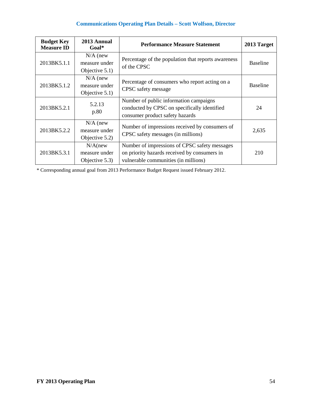| <b>Budget Key</b><br><b>Measure ID</b> | 2013 Annual<br>$Goal*$                        | <b>Performance Measure Statement</b>                                                                                                  | 2013 Target     |
|----------------------------------------|-----------------------------------------------|---------------------------------------------------------------------------------------------------------------------------------------|-----------------|
| 2013BK5.1.1                            | $N/A$ (new<br>measure under<br>Objective 5.1) | Percentage of the population that reports awareness<br>of the CPSC                                                                    | <b>Baseline</b> |
| 2013BK5.1.2                            | $N/A$ (new<br>measure under<br>Objective 5.1) | Percentage of consumers who report acting on a<br>CPSC safety message                                                                 | <b>Baseline</b> |
| 2013BK5.2.1                            | 5.2.13<br>p.80                                | Number of public information campaigns<br>conducted by CPSC on specifically identified<br>consumer product safety hazards             | 24              |
| 2013BK5.2.2                            | $N/A$ (new<br>measure under<br>Objective 5.2) | Number of impressions received by consumers of<br>CPSC safety messages (in millions)                                                  | 2,635           |
| 2013BK5.3.1                            | $N/A$ (new<br>measure under<br>Objective 5.3) | Number of impressions of CPSC safety messages<br>on priority hazards received by consumers in<br>vulnerable communities (in millions) | 210             |

\* Corresponding annual goal from 2013 Performance Budget Request issued February 2012.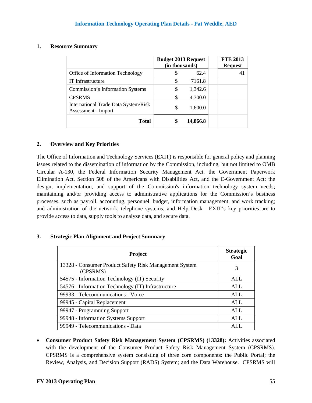#### **1. Resource Summary**

|                                                             | <b>Budget 2013 Request</b><br>(in thousands) |          |  | <b>FTE 2013</b><br><b>Request</b> |
|-------------------------------------------------------------|----------------------------------------------|----------|--|-----------------------------------|
| <b>Office of Information Technology</b>                     | S                                            | 62.4     |  | 41                                |
| IT Infrastructure                                           | \$                                           | 7161.8   |  |                                   |
| <b>Commission's Information Systems</b>                     | \$                                           | 1,342.6  |  |                                   |
| <b>CPSRMS</b>                                               | \$                                           | 4,700.0  |  |                                   |
| International Trade Data System/Risk<br>Assessment - Import | \$                                           | 1,600.0  |  |                                   |
| Total                                                       |                                              | 14,866.8 |  |                                   |

## **2. Overview and Key Priorities**

The Office of Information and Technology Services (EXIT) is responsible for general policy and planning issues related to the dissemination of information by the Commission, including, but not limited to OMB Circular A-130, the Federal Information Security Management Act, the Government Paperwork Elimination Act, Section 508 of the Americans with Disabilities Act, and the E-Government Act; the design, implementation, and support of the Commission's information technology system needs; maintaining and/or providing access to administrative applications for the Commission's business processes, such as payroll, accounting, personnel, budget, information management, and work tracking; and administration of the network, telephone systems, and Help Desk. EXIT's key priorities are to provide access to data, supply tools to analyze data, and secure data.

## **3. Strategic Plan Alignment and Project Summary**

| <b>Project</b>                                                     | <b>Strategic</b><br>Goal |
|--------------------------------------------------------------------|--------------------------|
| 13328 - Consumer Product Safety Risk Management System<br>(CPSRMS) | 3                        |
| 54575 - Information Technology (IT) Security                       | <b>ALL</b>               |
| 54576 - Information Technology (IT) Infrastructure                 | <b>ALL</b>               |
| 99933 - Telecommunications - Voice                                 | <b>ALL</b>               |
| 99945 - Capital Replacement                                        | <b>ALL</b>               |
| 99947 - Programming Support                                        | <b>ALL</b>               |
| 99948 - Information Systems Support                                | ALL                      |
| 99949 - Telecommunications - Data                                  | AL I                     |

• **Consumer Product Safety Risk Management System (CPSRMS) (13328):** Activities associated with the development of the Consumer Product Safety Risk Management System (CPSRMS). CPSRMS is a comprehensive system consisting of three core components: the Public Portal; the Review, Analysis, and Decision Support (RADS) System; and the Data Warehouse. CPSRMS will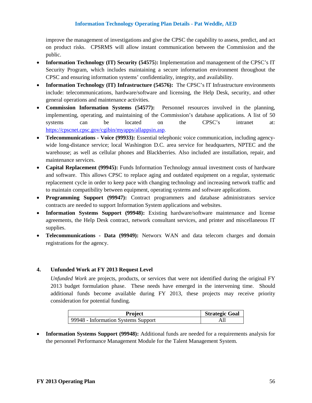## **Information Technology Operating Plan Details - Pat Weddle, AED**

improve the management of investigations and give the CPSC the capability to assess, predict, and act on product risks. CPSRMS will allow instant communication between the Commission and the public.

- **Information Technology (IT) Security (54575**)**:** Implementation and management of the CPSC's IT Security Program, which includes maintaining a secure information environment throughout the CPSC and ensuring information systems' confidentiality, integrity, and availability.
- **Information Technology (IT) Infrastructure (54576):** The CPSC's IT Infrastructure environments include: telecommunications, hardware/software and licensing, the Help Desk, security, and other general operations and maintenance activities.
- **Commission Information Systems (54577):** Personnel resources involved in the planning, implementing, operating, and maintaining of the Commission's database applications. A list of 50 systems can be located on the CPSC's intranet at: [https://cpscnet.cpsc.gov/cgibin/myapps/allappsin.asp.](https://cpscnet.cpsc.gov/cgibin/myapps/allappsin.asp)
- **Telecommunications - Voice (99933):** Essential telephonic voice communication, including agencywide long-distance service; local Washington D.C. area service for headquarters, NPTEC and the warehouse; as well as cellular phones and Blackberries. Also included are installation, repair, and maintenance services.
- **Capital Replacement (99945):** Funds Information Technology annual investment costs of hardware and software. This allows CPSC to replace aging and outdated equipment on a regular, systematic replacement cycle in order to keep pace with changing technology and increasing network traffic and to maintain compatibility between equipment, operating systems and software applications.
- **Programming Support (99947):** Contract programmers and database administrators service contracts are needed to support Information System applications and websites.
- **Information Systems Support (99948):** Existing hardware/software maintenance and license agreements, the Help Desk contract, network consultant services, and printer and miscellaneous IT supplies.
- **Telecommunications - Data (99949):** Networx WAN and data telecom charges and domain registrations for the agency.

## **4. Unfunded Work at FY 2013 Request Level**

*Unfunded Work* are projects, products, or services that were not identified during the original FY 2013 budget formulation phase. These needs have emerged in the intervening time. Should additional funds become available during FY 2013, these projects may receive priority consideration for potential funding.

| Project                             | <b>Strategic Goal</b> |
|-------------------------------------|-----------------------|
| 99948 - Information Systems Support |                       |

• **Information Systems Support (99948):** Additional funds are needed for a requirements analysis for the personnel Performance Management Module for the Talent Management System.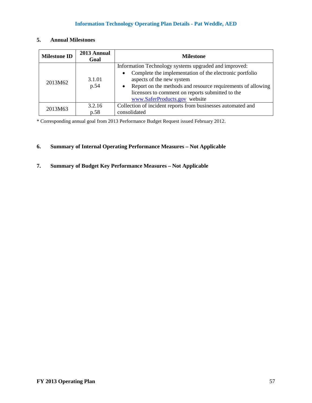# **Information Technology Operating Plan Details - Pat Weddle, AED**

| <b>Milestone ID</b> | 2013 Annual<br>Goal | <b>Milestone</b>                                                         |
|---------------------|---------------------|--------------------------------------------------------------------------|
|                     |                     | Information Technology systems upgraded and improved:                    |
|                     |                     | Complete the implementation of the electronic portfolio<br>$\bullet$     |
| 2013M62             | 3.1.01              | aspects of the new system                                                |
|                     | p.54                | Report on the methods and resource requirements of allowing<br>$\bullet$ |
|                     |                     | licensors to comment on reports submitted to the                         |
|                     |                     | www.SaferProducts.gov website                                            |
| 2013M63             | 3.2.16              | Collection of incident reports from businesses automated and             |
|                     | p.58                | consolidated                                                             |

### **5. Annual Milestones**

\* Corresponding annual goal from 2013 Performance Budget Request issued February 2012.

# **6. Summary of Internal Operating Performance Measures – Not Applicable**

# **7. Summary of Budget Key Performance Measures – Not Applicable**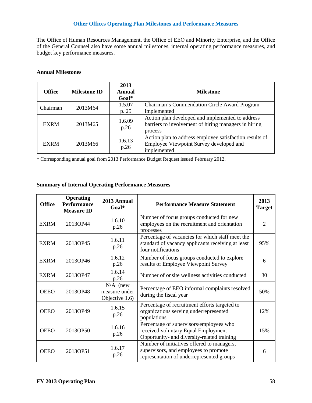# **Other Offices Operating Plan Milestones and Performance Measures**

The Office of Human Resources Management, the Office of EEO and Minority Enterprise, and the Office of the General Counsel also have some annual milestones, internal operating performance measures, and budget key performance measures.

#### **Annual Milestones**

| <b>Office</b> | <b>Milestone ID</b> | 2013<br><b>Annual</b><br>$Goal*$ | <b>Milestone</b>                                                                                                    |
|---------------|---------------------|----------------------------------|---------------------------------------------------------------------------------------------------------------------|
| Chairman      | 2013M64             | 1.5.07                           | Chairman's Commendation Circle Award Program                                                                        |
|               |                     | p. 25                            | implemented                                                                                                         |
| <b>EXRM</b>   | 2013M65             | 1.6.09<br>p.26                   | Action plan developed and implemented to address<br>barriers to involvement of hiring managers in hiring<br>process |
| <b>EXRM</b>   | 2013M66             | 1.6.13<br>p.26                   | Action plan to address employee satisfaction results of<br>Employee Viewpoint Survey developed and<br>implemented   |

\* Corresponding annual goal from 2013 Performance Budget Request issued February 2012.

#### **Summary of Internal Operating Performance Measures**

| <b>Office</b> | <b>Operating</b><br><b>Performance</b><br><b>Measure ID</b> | 2013 Annual<br>$Goal*$                        | <b>Performance Measure Statement</b>                                                                                             | 2013<br><b>Target</b> |
|---------------|-------------------------------------------------------------|-----------------------------------------------|----------------------------------------------------------------------------------------------------------------------------------|-----------------------|
| <b>EXRM</b>   | 2013OP44                                                    | 1.6.10<br>p.26                                | Number of focus groups conducted for new<br>employees on the recruitment and orientation<br>processes                            | $\overline{2}$        |
| <b>EXRM</b>   | 2013OP45                                                    | 1.6.11<br>p.26                                | Percentage of vacancies for which staff meet the<br>standard of vacancy applicants receiving at least<br>four notifications      | 95%                   |
| <b>EXRM</b>   | 2013OP46                                                    | 1.6.12<br>p.26                                | Number of focus groups conducted to explore<br>results of Employee Viewpoint Survey                                              | 6                     |
| <b>EXRM</b>   | 2013OP47                                                    | 1.6.14<br>p.26                                | Number of onsite wellness activities conducted                                                                                   | 30                    |
| <b>OEEO</b>   | 2013OP48                                                    | $N/A$ (new<br>measure under<br>Objective 1.6) | Percentage of EEO informal complaints resolved<br>during the fiscal year                                                         | 50%                   |
| <b>OEEO</b>   | 2013OP49                                                    | 1.6.15<br>p.26                                | Percentage of recruitment efforts targeted to<br>organizations serving underrepresented<br>populations                           | 12%                   |
| <b>OEEO</b>   | 2013OP50                                                    | 1.6.16<br>p.26                                | Percentage of supervisors/employees who<br>received voluntary Equal Employment<br>Opportunity- and diversity-related training    | 15%                   |
| <b>OEEO</b>   | 2013OP51                                                    | 1.6.17<br>p.26                                | Number of initiatives offered to managers,<br>supervisors, and employees to promote<br>representation of underrepresented groups | 6                     |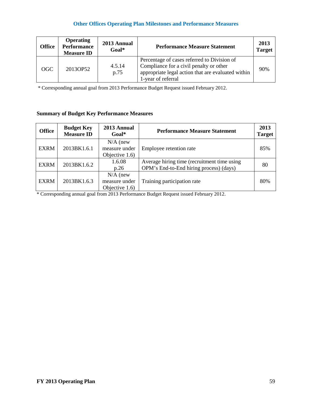# **Other Offices Operating Plan Milestones and Performance Measures**

| <b>Office</b> | <b>Operating</b><br><b>Performance</b><br><b>Measure ID</b> | 2013 Annual<br>Goal* | <b>Performance Measure Statement</b>                                                                                                                               | 2013<br><b>Target</b> |
|---------------|-------------------------------------------------------------|----------------------|--------------------------------------------------------------------------------------------------------------------------------------------------------------------|-----------------------|
| OGC           | 2013OP52                                                    | 4.5.14<br>p.75       | Percentage of cases referred to Division of<br>Compliance for a civil penalty or other<br>appropriate legal action that are evaluated within<br>1-year of referral | 90%                   |

\* Corresponding annual goal from 2013 Performance Budget Request issued February 2012.

# **Summary of Budget Key Performance Measures**

| <b>Office</b> | <b>Budget Key</b><br><b>Measure ID</b> | 2013 Annual<br>$Goal*$                        | <b>Performance Measure Statement</b>                                                   | 2013<br><b>Target</b> |
|---------------|----------------------------------------|-----------------------------------------------|----------------------------------------------------------------------------------------|-----------------------|
| <b>EXRM</b>   | 2013BK1.6.1                            | $N/A$ (new<br>measure under<br>Objective 1.6) | Employee retention rate                                                                | 85%                   |
| <b>EXRM</b>   | 2013BK1.6.2                            | 1.6.08<br>p.26                                | Average hiring time (recruitment time using<br>OPM's End-to-End hiring process) (days) | 80                    |
| <b>EXRM</b>   | 2013BK1.6.3                            | $N/A$ (new<br>measure under<br>Objective 1.6) | Training participation rate                                                            | 80%                   |

\* Corresponding annual goal from 2013 Performance Budget Request issued February 2012.